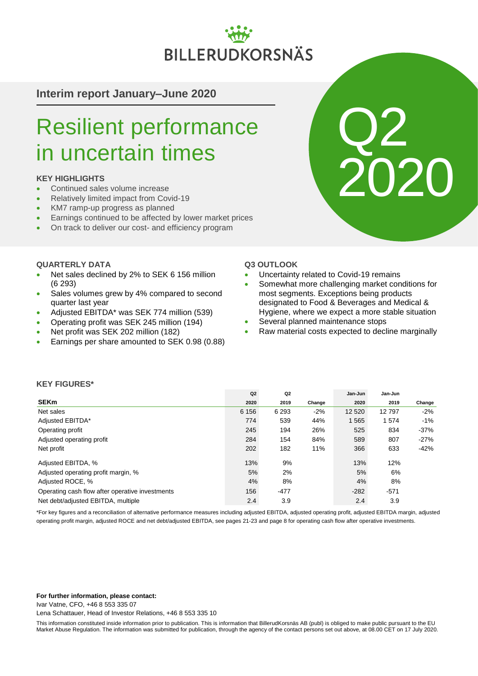# BILLERUDKORSNÄS

**Interim report January–June 2020**

# Resilient performance in uncertain times

# **KEY HIGHLIGHTS**

- Continued sales volume increase
- Relatively limited impact from Covid-19
- KM7 ramp-up progress as planned
- **Earnings continued to be affected by lower market prices**
- On track to deliver our cost- and efficiency program

### **QUARTERLY DATA**

- Net sales declined by 2% to SEK 6 156 million (6 293)
- Sales volumes grew by 4% compared to second quarter last year
- Adjusted EBITDA\* was SEK 774 million (539)
- Operating profit was SEK 245 million (194)
- Net profit was SEK 202 million (182)
- Earnings per share amounted to SEK 0.98 (0.88)



- Uncertainty related to Covid-19 remains
- Somewhat more challenging market conditions for most segments. Exceptions being products designated to Food & Beverages and Medical & Hygiene, where we expect a more stable situation

Q2

2020

- Several planned maintenance stops
- Raw material costs expected to decline marginally

### **KEY FIGURES\***

|                                                 | Q2      | Q <sub>2</sub> |        | Jan-Jun | Jan-Jun |        |
|-------------------------------------------------|---------|----------------|--------|---------|---------|--------|
| <b>SEKm</b>                                     | 2020    | 2019           | Change | 2020    | 2019    | Change |
| Net sales                                       | 6 1 5 6 | 6 2 9 3        | $-2%$  | 12 5 20 | 12797   | $-2\%$ |
| Adjusted EBITDA*                                | 774     | 539            | 44%    | 1 5 6 5 | 1574    | $-1\%$ |
| Operating profit                                | 245     | 194            | 26%    | 525     | 834     | $-37%$ |
| Adjusted operating profit                       | 284     | 154            | 84%    | 589     | 807     | $-27%$ |
| Net profit                                      | 202     | 182            | 11%    | 366     | 633     | $-42%$ |
| Adjusted EBITDA, %                              | 13%     | 9%             |        | 13%     | 12%     |        |
| Adjusted operating profit margin, %             | 5%      | 2%             |        | 5%      | 6%      |        |
| Adjusted ROCE, %                                | 4%      | 8%             |        | 4%      | 8%      |        |
| Operating cash flow after operative investments | 156     | $-477$         |        | $-282$  | $-571$  |        |
| Net debt/adiusted EBITDA, multiple              | 2.4     | 3.9            |        | 2.4     | 3.9     |        |

\*For key figures and a reconciliation of alternative performance measures including adjusted EBITDA, adjusted operating profit, adjusted EBITDA margin, adjusted operating profit margin, adjusted ROCE and net debt/adjusted EBITDA, see pages 21-23 and page 8 for operating cash flow after operative investments.

#### **For further information, please contact:**

Ivar Vatne, CFO, +46 8 553 335 07

Lena Schattauer, Head of Investor Relations, +46 8 553 335 10

This information constituted inside information prior to publication. This is information that BillerudKorsnäs AB (publ) is obliged to make public pursuant to the EU Market Abuse Regulation. The information was submitted for publication, through the agency of the contact persons set out above, at 08.00 CET on 17 July 2020.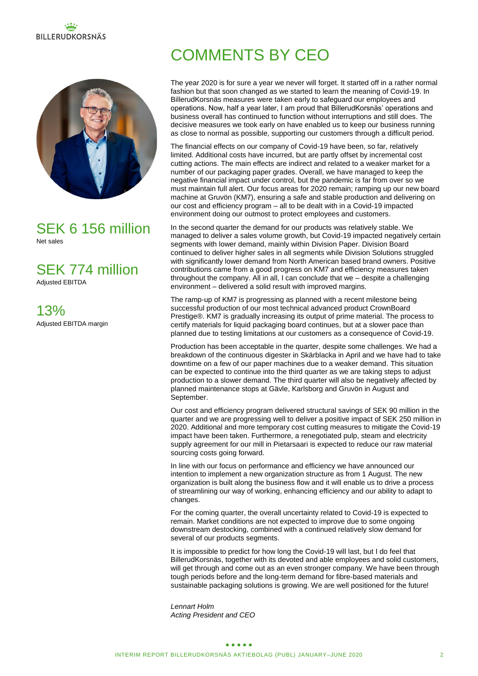# **BILLERUDKORSNÄS**



# SEK 6 156 million Net sales

SEK 774 million

Adjusted EBITDA

13% Adjusted EBITDA margin

# COMMENTS BY CEO

The year 2020 is for sure a year we never will forget. It started off in a rather normal fashion but that soon changed as we started to learn the meaning of Covid-19. In BillerudKorsnäs measures were taken early to safeguard our employees and operations. Now, half a year later, I am proud that BillerudKorsnäs' operations and business overall has continued to function without interruptions and still does. The decisive measures we took early on have enabled us to keep our business running as close to normal as possible, supporting our customers through a difficult period.

The financial effects on our company of Covid-19 have been, so far, relatively limited. Additional costs have incurred, but are partly offset by incremental cost cutting actions. The main effects are indirect and related to a weaker market for a number of our packaging paper grades. Overall, we have managed to keep the negative financial impact under control, but the pandemic is far from over so we must maintain full alert. Our focus areas for 2020 remain; ramping up our new board machine at Gruvön (KM7), ensuring a safe and stable production and delivering on our cost and efficiency program – all to be dealt with in a Covid-19 impacted environment doing our outmost to protect employees and customers.

In the second quarter the demand for our products was relatively stable. We managed to deliver a sales volume growth, but Covid-19 impacted negatively certain segments with lower demand, mainly within Division Paper. Division Board continued to deliver higher sales in all segments while Division Solutions struggled with significantly lower demand from North American based brand owners. Positive contributions came from a good progress on KM7 and efficiency measures taken throughout the company. All in all, I can conclude that we – despite a challenging environment – delivered a solid result with improved margins.

The ramp-up of KM7 is progressing as planned with a recent milestone being successful production of our most technical advanced product CrownBoard Prestige®. KM7 is gradually increasing its output of prime material. The process to certify materials for liquid packaging board continues, but at a slower pace than planned due to testing limitations at our customers as a consequence of Covid-19.

Production has been acceptable in the quarter, despite some challenges. We had a breakdown of the continuous digester in Skärblacka in April and we have had to take downtime on a few of our paper machines due to a weaker demand. This situation can be expected to continue into the third quarter as we are taking steps to adjust production to a slower demand. The third quarter will also be negatively affected by planned maintenance stops at Gävle, Karlsborg and Gruvön in August and September.

Our cost and efficiency program delivered structural savings of SEK 90 million in the quarter and we are progressing well to deliver a positive impact of SEK 250 million in 2020. Additional and more temporary cost cutting measures to mitigate the Covid-19 impact have been taken. Furthermore, a renegotiated pulp, steam and electricity supply agreement for our mill in Pietarsaari is expected to reduce our raw material sourcing costs going forward.

In line with our focus on performance and efficiency we have announced our intention to implement a new organization structure as from 1 August. The new organization is built along the business flow and it will enable us to drive a process of streamlining our way of working, enhancing efficiency and our ability to adapt to changes.

For the coming quarter, the overall uncertainty related to Covid-19 is expected to remain. Market conditions are not expected to improve due to some ongoing downstream destocking, combined with a continued relatively slow demand for several of our products segments.

It is impossible to predict for how long the Covid-19 will last, but I do feel that BillerudKorsnäs, together with its devoted and able employees and solid customers, will get through and come out as an even stronger company. We have been through tough periods before and the long-term demand for fibre-based materials and sustainable packaging solutions is growing. We are well positioned for the future!

*Lennart Holm Acting President and CEO*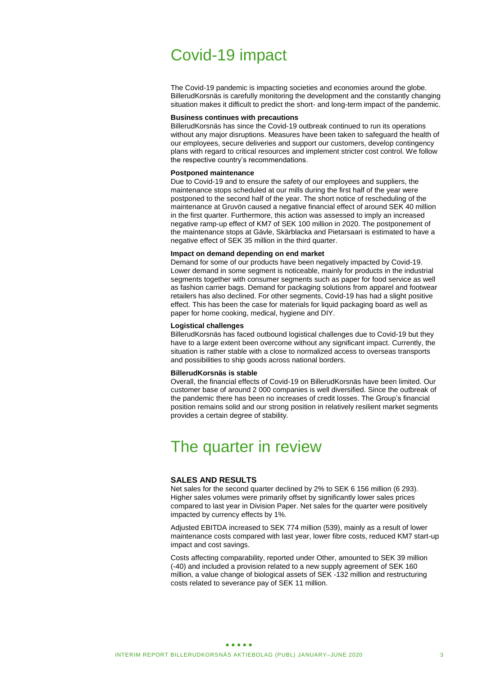# Covid-19 impact

The Covid-19 pandemic is impacting societies and economies around the globe. BillerudKorsnäs is carefully monitoring the development and the constantly changing situation makes it difficult to predict the short- and long-term impact of the pandemic.

### **Business continues with precautions**

BillerudKorsnäs has since the Covid-19 outbreak continued to run its operations without any major disruptions. Measures have been taken to safeguard the health of our employees, secure deliveries and support our customers, develop contingency plans with regard to critical resources and implement stricter cost control. We follow the respective country's recommendations.

#### **Postponed maintenance**

Due to Covid-19 and to ensure the safety of our employees and suppliers, the maintenance stops scheduled at our mills during the first half of the year were postponed to the second half of the year. The short notice of rescheduling of the maintenance at Gruvön caused a negative financial effect of around SEK 40 million in the first quarter. Furthermore, this action was assessed to imply an increased negative ramp-up effect of KM7 of SEK 100 million in 2020. The postponement of the maintenance stops at Gävle, Skärblacka and Pietarsaari is estimated to have a negative effect of SEK 35 million in the third quarter.

#### **Impact on demand depending on end market**

Demand for some of our products have been negatively impacted by Covid-19. Lower demand in some segment is noticeable, mainly for products in the industrial segments together with consumer segments such as paper for food service as well as fashion carrier bags. Demand for packaging solutions from apparel and footwear retailers has also declined. For other segments, Covid-19 has had a slight positive effect. This has been the case for materials for liquid packaging board as well as paper for home cooking, medical, hygiene and DIY.

#### **Logistical challenges**

BillerudKorsnäs has faced outbound logistical challenges due to Covid-19 but they have to a large extent been overcome without any significant impact. Currently, the situation is rather stable with a close to normalized access to overseas transports and possibilities to ship goods across national borders.

#### **BillerudKorsnäs is stable**

Overall, the financial effects of Covid-19 on BillerudKorsnäs have been limited. Our customer base of around 2 000 companies is well diversified. Since the outbreak of the pandemic there has been no increases of credit losses. The Group's financial position remains solid and our strong position in relatively resilient market segments provides a certain degree of stability.

# The quarter in review

#### **SALES AND RESULTS**

Net sales for the second quarter declined by 2% to SEK 6 156 million (6 293). Higher sales volumes were primarily offset by significantly lower sales prices compared to last year in Division Paper. Net sales for the quarter were positively impacted by currency effects by 1%.

Adjusted EBITDA increased to SEK 774 million (539), mainly as a result of lower maintenance costs compared with last year, lower fibre costs, reduced KM7 start-up impact and cost savings.

Costs affecting comparability, reported under Other, amounted to SEK 39 million (-40) and included a provision related to a new supply agreement of SEK 160 million, a value change of biological assets of SEK -132 million and restructuring costs related to severance pay of SEK 11 million.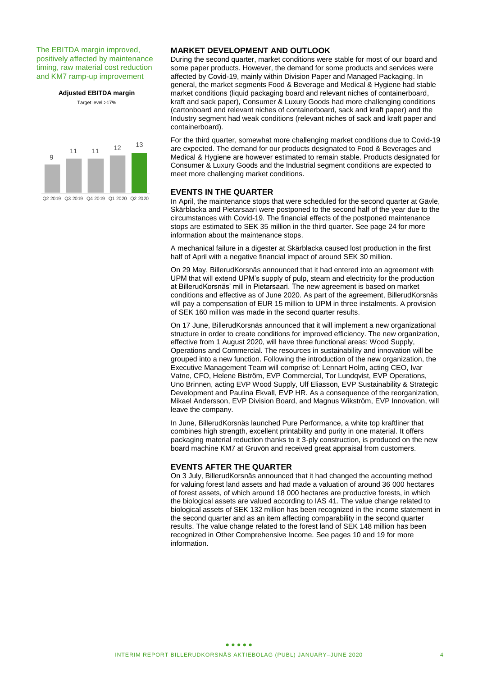The EBITDA margin improved, positively affected by maintenance timing, raw material cost reduction and KM7 ramp-up improvement

**Adjusted EBITDA margin**

Target level >17%



**MARKET DEVELOPMENT AND OUTLOOK**

During the second quarter, market conditions were stable for most of our board and some paper products. However, the demand for some products and services were affected by Covid-19, mainly within Division Paper and Managed Packaging. In general, the market segments Food & Beverage and Medical & Hygiene had stable market conditions (liquid packaging board and relevant niches of containerboard, kraft and sack paper), Consumer & Luxury Goods had more challenging conditions (cartonboard and relevant niches of containerboard, sack and kraft paper) and the Industry segment had weak conditions (relevant niches of sack and kraft paper and containerboard).

For the third quarter, somewhat more challenging market conditions due to Covid-19 are expected. The demand for our products designated to Food & Beverages and Medical & Hygiene are however estimated to remain stable. Products designated for Consumer & Luxury Goods and the Industrial segment conditions are expected to meet more challenging market conditions.

### **EVENTS IN THE QUARTER**

In April, the maintenance stops that were scheduled for the second quarter at Gävle, Skärblacka and Pietarsaari were postponed to the second half of the year due to the circumstances with Covid-19. The financial effects of the postponed maintenance stops are estimated to SEK 35 million in the third quarter. See page 24 for more information about the maintenance stops.

A mechanical failure in a digester at Skärblacka caused lost production in the first half of April with a negative financial impact of around SEK 30 million.

On 29 May, BillerudKorsnäs announced that it had entered into an agreement with UPM that will extend UPM's supply of pulp, steam and electricity for the production at BillerudKorsnäs' mill in Pietarsaari. The new agreement is based on market conditions and effective as of June 2020. As part of the agreement, BillerudKorsnäs will pay a compensation of EUR 15 million to UPM in three instalments. A provision of SEK 160 million was made in the second quarter results.

On 17 June, BillerudKorsnäs announced that it will implement a new organizational structure in order to create conditions for improved efficiency. The new organization, effective from 1 August 2020, will have three functional areas: Wood Supply, Operations and Commercial. The resources in sustainability and innovation will be grouped into a new function. Following the introduction of the new organization, the Executive Management Team will comprise of: Lennart Holm, acting CEO, Ivar Vatne, CFO, Helene Biström, EVP Commercial, Tor Lundqvist, EVP Operations, Uno Brinnen, acting EVP Wood Supply, Ulf Eliasson, EVP Sustainability & Strategic Development and Paulina Ekvall, EVP HR. As a consequence of the reorganization, Mikael Andersson, EVP Division Board, and Magnus Wikström, EVP Innovation, will leave the company.

In June, BillerudKorsnäs launched Pure Performance, a white top kraftliner that combines high strength, excellent printability and purity in one material. It offers packaging material reduction thanks to it 3-ply construction, is produced on the new board machine KM7 at Gruvön and received great appraisal from customers.

### **EVENTS AFTER THE QUARTER**

On 3 July, BillerudKorsnäs announced that it had changed the accounting method for valuing forest land assets and had made a valuation of around 36 000 hectares of forest assets, of which around 18 000 hectares are productive forests, in which the biological assets are valued according to IAS 41. The value change related to biological assets of SEK 132 million has been recognized in the income statement in the second quarter and as an item affecting comparability in the second quarter results. The value change related to the forest land of SEK 148 million has been recognized in Other Comprehensive Income. See pages 10 and 19 for more information.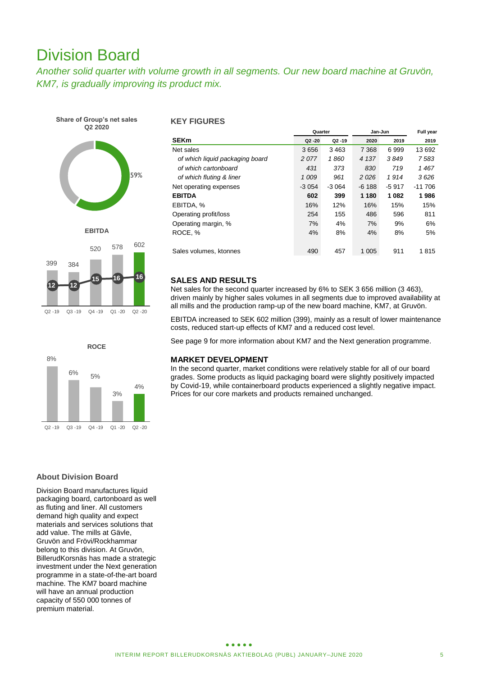# Division Board

*Another solid quarter with volume growth in all segments. Our new board machine at Gruvön, KM7, is gradually improving its product mix.* 









### **KEY FIGURES**

|                                 | Quarter   |           | Jan-Jun | Full year |          |
|---------------------------------|-----------|-----------|---------|-----------|----------|
| <b>SEKm</b>                     | $Q2 - 20$ | $Q2 - 19$ | 2020    | 2019      | 2019     |
| Net sales                       | 3656      | 3463      | 7 3 6 8 | 6999      | 13 692   |
| of which liquid packaging board | 2077      | 1860      | 4 1 3 7 | 3849      | 7583     |
| of which cartonboard            | 431       | 373       | 830     | 719       | 1467     |
| of which fluting & liner        | 1009      | 961       | 2026    | 1914      | 3626     |
| Net operating expenses          | $-3054$   | $-3.064$  | $-6188$ | $-5917$   | $-11706$ |
| <b>EBITDA</b>                   | 602       | 399       | 1 1 8 0 | 1082      | 1986     |
| EBITDA, %                       | 16%       | 12%       | 16%     | 15%       | 15%      |
| Operating profit/loss           | 254       | 155       | 486     | 596       | 811      |
| Operating margin, %             | 7%        | 4%        | 7%      | 9%        | 6%       |
| ROCE, %                         | 4%        | 8%        | 4%      | 8%        | 5%       |
|                                 |           |           |         |           |          |
| Sales volumes, ktonnes          | 490       | 457       | 1 0 0 5 | 911       | 1815     |

### **SALES AND RESULTS**

Net sales for the second quarter increased by 6% to SEK 3 656 million (3 463), driven mainly by higher sales volumes in all segments due to improved availability at all mills and the production ramp-up of the new board machine, KM7, at Gruvön.

EBITDA increased to SEK 602 million (399), mainly as a result of lower maintenance costs, reduced start-up effects of KM7 and a reduced cost level.

See page 9 for more information about KM7 and the Next generation programme.

### **MARKET DEVELOPMENT**

In the second quarter, market conditions were relatively stable for all of our board grades. Some products as liquid packaging board were slightly positively impacted by Covid-19, while containerboard products experienced a slightly negative impact. Prices for our core markets and products remained unchanged.

### **About Division Board**

Division Board manufactures liquid packaging board, cartonboard as well as fluting and liner. All customers demand high quality and expect materials and services solutions that add value. The mills at Gävle, Gruvön and Frövi/Rockhammar belong to this division. At Gruvön, BillerudKorsnäs has made a strategic investment under the Next generation programme in a state-of-the-art board machine. The KM7 board machine will have an annual production capacity of 550 000 tonnes of premium material.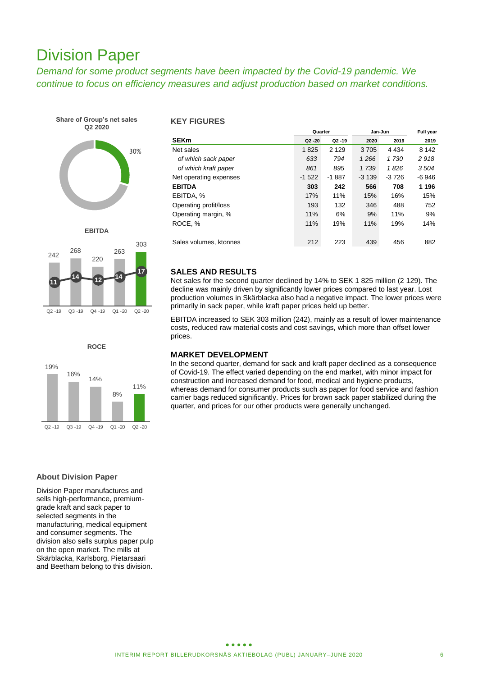# Division Paper

*Demand for some product segments have been impacted by the Covid-19 pandemic. We continue to focus on efficiency measures and adjust production based on market conditions.*





242 268 220 263 303 **11 <sup>14</sup> <sup>12</sup> <sup>14</sup> 17** Q2 -19 Q3 -19 Q4 -19 Q1 -20 Q2 -20

**EBITDA**



#### **KEY FIGURES**

|                        | Quarter   |           | Jan-Jun | Full year |         |
|------------------------|-----------|-----------|---------|-----------|---------|
| <b>SEKm</b>            | $Q2 - 20$ | $Q2 - 19$ | 2020    | 2019      | 2019    |
| Net sales              | 1825      | 2 1 2 9   | 3705    | 4 4 3 4   | 8 1 4 2 |
| of which sack paper    | 633       | 794       | 1266    | 1 7 3 0   | 2918    |
| of which kraft paper   | 861       | 895       | 1 7 3 9 | 1826      | 3504    |
| Net operating expenses | $-1522$   | $-1887$   | $-3139$ | $-3726$   | $-6946$ |
| <b>EBITDA</b>          | 303       | 242       | 566     | 708       | 1 1 9 6 |
| EBITDA, %              | 17%       | 11%       | 15%     | 16%       | 15%     |
| Operating profit/loss  | 193       | 132       | 346     | 488       | 752     |
| Operating margin, %    | 11%       | 6%        | 9%      | 11%       | 9%      |
| ROCE, %                | 11%       | 19%       | 11%     | 19%       | 14%     |
|                        |           |           |         |           |         |
| Sales volumes, ktonnes | 212       | 223       | 439     | 456       | 882     |

### **SALES AND RESULTS**

Net sales for the second quarter declined by 14% to SEK 1 825 million (2 129). The decline was mainly driven by significantly lower prices compared to last year. Lost production volumes in Skärblacka also had a negative impact. The lower prices were primarily in sack paper, while kraft paper prices held up better.

EBITDA increased to SEK 303 million (242), mainly as a result of lower maintenance costs, reduced raw material costs and cost savings, which more than offset lower prices.

### **MARKET DEVELOPMENT**

In the second quarter, demand for sack and kraft paper declined as a consequence of Covid-19. The effect varied depending on the end market, with minor impact for construction and increased demand for food, medical and hygiene products, whereas demand for consumer products such as paper for food service and fashion carrier bags reduced significantly. Prices for brown sack paper stabilized during the quarter, and prices for our other products were generally unchanged.

### **About Division Paper**

Division Paper manufactures and sells high-performance, premiumgrade kraft and sack paper to selected segments in the manufacturing, medical equipment and consumer segments. The division also sells surplus paper pulp on the open market. The mills at Skärblacka, Karlsborg, Pietarsaari and Beetham belong to this division.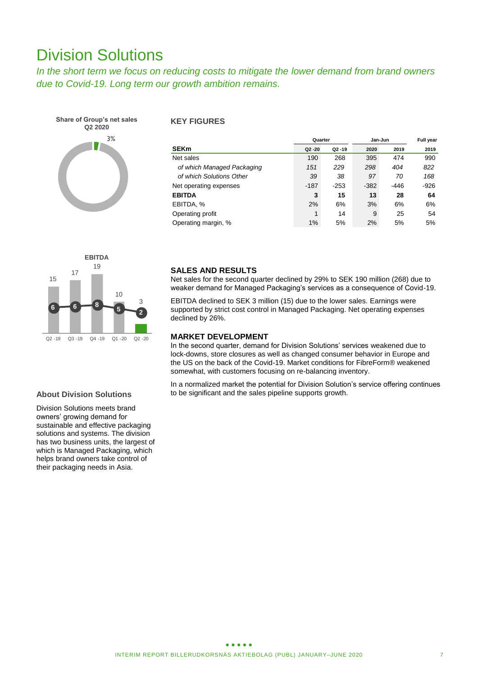# Division Solutions

*In the short term we focus on reducing costs to mitigate the lower demand from brand owners due to Covid-19. Long term our growth ambition remains.*



### **KEY FIGURES**

|                            | Quarter   |           | Jan-Jun | Full year |        |
|----------------------------|-----------|-----------|---------|-----------|--------|
| <b>SEKm</b>                | $Q2 - 20$ | $Q2 - 19$ | 2020    | 2019      | 2019   |
| Net sales                  | 190       | 268       | 395     | 474       | 990    |
| of which Managed Packaging | 151       | 229       | 298     | 404       | 822    |
| of which Solutions Other   | 39        | 38        | 97      | 70        | 168    |
| Net operating expenses     | $-187$    | $-253$    | $-382$  | -446      | $-926$ |
| <b>EBITDA</b>              | 3         | 15        | 13      | 28        | 64     |
| EBITDA, %                  | 2%        | 6%        | 3%      | 6%        | 6%     |
| Operating profit           | 1         | 14        | 9       | 25        | 54     |
| Operating margin, %        | 1%        | 5%        | 2%      | 5%        | 5%     |



#### **About Division Solutions**

Division Solutions meets brand owners' growing demand for sustainable and effective packaging solutions and systems. The division has two business units, the largest of which is Managed Packaging, which helps brand owners take control of their packaging needs in Asia.

### **SALES AND RESULTS**

Net sales for the second quarter declined by 29% to SEK 190 million (268) due to weaker demand for Managed Packaging's services as a consequence of Covid-19.

EBITDA declined to SEK 3 million (15) due to the lower sales. Earnings were supported by strict cost control in Managed Packaging. Net operating expenses declined by 26%.

### **MARKET DEVELOPMENT**

In the second quarter, demand for Division Solutions' services weakened due to lock-downs, store closures as well as changed consumer behavior in Europe and the US on the back of the Covid-19. Market conditions for FibreForm® weakened somewhat, with customers focusing on re-balancing inventory.

In a normalized market the potential for Division Solution's service offering continues to be significant and the sales pipeline supports growth.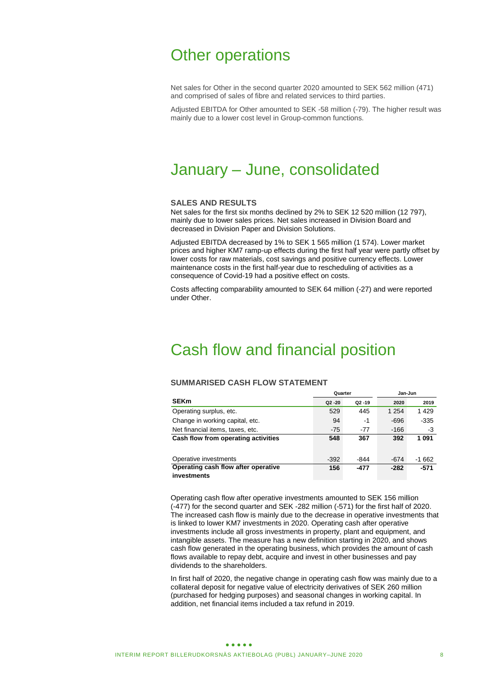# Other operations

Net sales for Other in the second quarter 2020 amounted to SEK 562 million (471) and comprised of sales of fibre and related services to third parties.

Adjusted EBITDA for Other amounted to SEK -58 million (-79). The higher result was mainly due to a lower cost level in Group-common functions.

# January – June, consolidated

### **SALES AND RESULTS**

Net sales for the first six months declined by 2% to SEK 12 520 million (12 797), mainly due to lower sales prices. Net sales increased in Division Board and decreased in Division Paper and Division Solutions.

Adjusted EBITDA decreased by 1% to SEK 1 565 million (1 574). Lower market prices and higher KM7 ramp-up effects during the first half year were partly offset by lower costs for raw materials, cost savings and positive currency effects. Lower maintenance costs in the first half-year due to rescheduling of activities as a consequence of Covid-19 had a positive effect on costs.

Costs affecting comparability amounted to SEK 64 million (-27) and were reported under Other.

# Cash flow and financial position

### **SUMMARISED CASH FLOW STATEMENT**

|                                     | Quarter   |           | Jan-Jun |         |  |  |
|-------------------------------------|-----------|-----------|---------|---------|--|--|
| <b>SEKm</b>                         | $Q2 - 20$ | $Q2 - 19$ | 2020    | 2019    |  |  |
| Operating surplus, etc.             | 529       | 445       | 1 2 5 4 | 1429    |  |  |
| Change in working capital, etc.     | 94        | -1        | -696    | -335    |  |  |
| Net financial items, taxes, etc.    | $-75$     | $-77$     | $-166$  | -3      |  |  |
| Cash flow from operating activities | 548       | 367       | 392     | 1091    |  |  |
|                                     |           |           |         |         |  |  |
| Operative investments               | $-392$    | -844      | $-674$  | $-1662$ |  |  |
| Operating cash flow after operative | 156       | $-477$    | $-282$  | $-571$  |  |  |
| investments                         |           |           |         |         |  |  |

Operating cash flow after operative investments amounted to SEK 156 million (-477) for the second quarter and SEK -282 million (-571) for the first half of 2020. The increased cash flow is mainly due to the decrease in operative investments that is linked to lower KM7 investments in 2020. Operating cash after operative investments include all gross investments in property, plant and equipment, and intangible assets. The measure has a new definition starting in 2020, and shows cash flow generated in the operating business, which provides the amount of cash flows available to repay debt, acquire and invest in other businesses and pay dividends to the shareholders.

In first half of 2020, the negative change in operating cash flow was mainly due to a collateral deposit for negative value of electricity derivatives of SEK 260 million (purchased for hedging purposes) and seasonal changes in working capital. In addition, net financial items included a tax refund in 2019.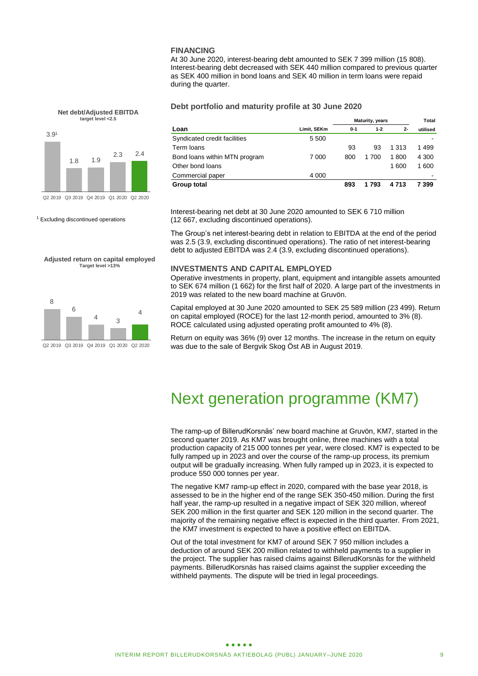#### **FINANCING**

At 30 June 2020, interest-bearing debt amounted to SEK 7 399 million (15 808). Interest-bearing debt decreased with SEK 440 million compared to previous quarter as SEK 400 million in bond loans and SEK 40 million in term loans were repaid during the quarter.

**Debt portfolio and maturity profile at 30 June 2020**

|                               |             | <b>Maturity, years</b> |         |         | Total    |
|-------------------------------|-------------|------------------------|---------|---------|----------|
| Loan                          | Limit, SEKm | $0 - 1$                | $1 - 2$ | $2-$    | utilised |
| Syndicated credit facilities  | 5 500       |                        |         |         |          |
| Term loans                    |             | 93                     | 93      | 1 313   | 1499     |
| Bond loans within MTN program | 7 000       | 800                    | 1 700   | 1800    | 4 3 0 0  |
| Other bond loans              |             |                        |         | 1600    | 1600     |
| Commercial paper              | 4 0 0 0     |                        |         |         | -        |
| Group total                   |             | 893                    | 1793    | 4 7 1 3 | 7 399    |

Interest-bearing net debt at 30 June 2020 amounted to SEK 6 710 million (12 667, excluding discontinued operations).

The Group's net interest-bearing debt in relation to EBITDA at the end of the period was 2.5 (3.9, excluding discontinued operations). The ratio of net interest-bearing debt to adjusted EBITDA was 2.4 (3.9, excluding discontinued operations).

#### **INVESTMENTS AND CAPITAL EMPLOYED**

Operative investments in property, plant, equipment and intangible assets amounted to SEK 674 million (1 662) for the first half of 2020. A large part of the investments in 2019 was related to the new board machine at Gruvön.

Capital employed at 30 June 2020 amounted to SEK 25 589 million (23 499). Return on capital employed (ROCE) for the last 12-month period, amounted to 3% (8). ROCE calculated using adjusted operating profit amounted to 4% (8).

Return on equity was 36% (9) over 12 months. The increase in the return on equity was due to the sale of Bergvik Skog Öst AB in August 2019.

# Next generation programme (KM7)

The ramp-up of BillerudKorsnäs' new board machine at Gruvön, KM7, started in the second quarter 2019. As KM7 was brought online, three machines with a total production capacity of 215 000 tonnes per year, were closed. KM7 is expected to be fully ramped up in 2023 and over the course of the ramp-up process, its premium output will be gradually increasing. When fully ramped up in 2023, it is expected to produce 550 000 tonnes per year.

The negative KM7 ramp-up effect in 2020, compared with the base year 2018, is assessed to be in the higher end of the range SEK 350-450 million. During the first half year, the ramp-up resulted in a negative impact of SEK 320 million, whereof SEK 200 million in the first quarter and SEK 120 million in the second quarter. The majority of the remaining negative effect is expected in the third quarter. From 2021, the KM7 investment is expected to have a positive effect on EBITDA.

Out of the total investment for KM7 of around SEK 7 950 million includes a deduction of around SEK 200 million related to withheld payments to a supplier in the project. The supplier has raised claims against BillerudKorsnäs for the withheld payments. BillerudKorsnäs has raised claims against the supplier exceeding the withheld payments. The dispute will be tried in legal proceedings.



**Net debt/Adjusted EBITDA**

<sup>1</sup> Excluding discontinued operations

**Adjusted return on capital employed Target level >13%**

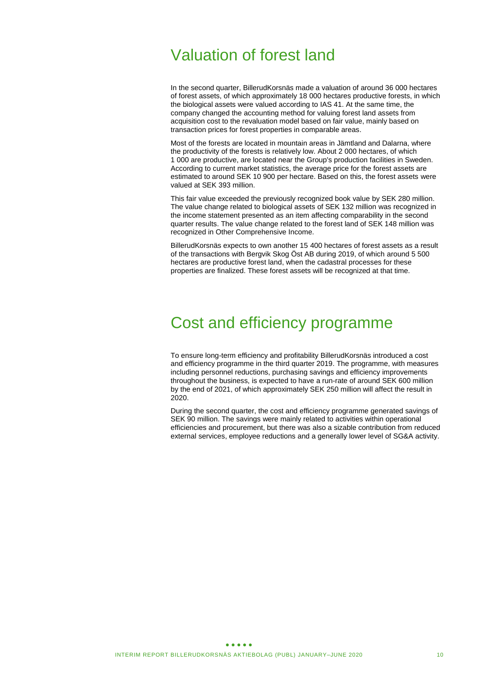# Valuation of forest land

In the second quarter, BillerudKorsnäs made a valuation of around 36 000 hectares of forest assets, of which approximately 18 000 hectares productive forests, in which the biological assets were valued according to IAS 41. At the same time, the company changed the accounting method for valuing forest land assets from acquisition cost to the revaluation model based on fair value, mainly based on transaction prices for forest properties in comparable areas.

Most of the forests are located in mountain areas in Jämtland and Dalarna, where the productivity of the forests is relatively low. About 2 000 hectares, of which 1 000 are productive, are located near the Group's production facilities in Sweden. According to current market statistics, the average price for the forest assets are estimated to around SEK 10 900 per hectare. Based on this, the forest assets were valued at SEK 393 million.

This fair value exceeded the previously recognized book value by SEK 280 million. The value change related to biological assets of SEK 132 million was recognized in the income statement presented as an item affecting comparability in the second quarter results. The value change related to the forest land of SEK 148 million was recognized in Other Comprehensive Income.

BillerudKorsnäs expects to own another 15 400 hectares of forest assets as a result of the transactions with Bergvik Skog Öst AB during 2019, of which around 5 500 hectares are productive forest land, when the cadastral processes for these properties are finalized. These forest assets will be recognized at that time.

# Cost and efficiency programme

To ensure long-term efficiency and profitability BillerudKorsnäs introduced a cost and efficiency programme in the third quarter 2019. The programme, with measures including personnel reductions, purchasing savings and efficiency improvements throughout the business, is expected to have a run-rate of around SEK 600 million by the end of 2021, of which approximately SEK 250 million will affect the result in 2020.

During the second quarter, the cost and efficiency programme generated savings of SEK 90 million. The savings were mainly related to activities within operational efficiencies and procurement, but there was also a sizable contribution from reduced external services, employee reductions and a generally lower level of SG&A activity.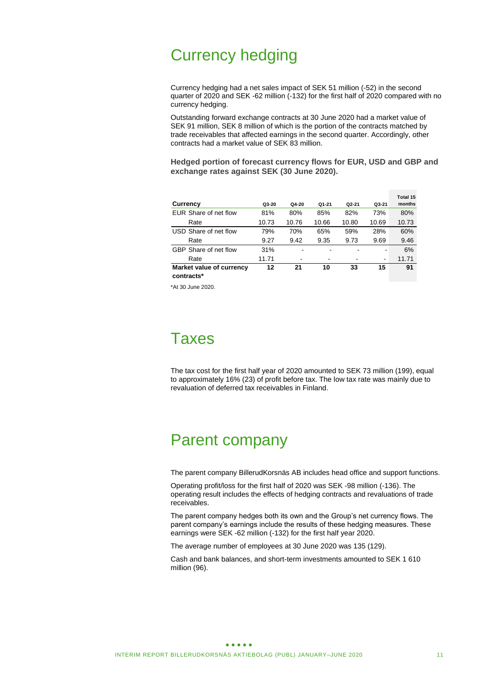# Currency hedging

Currency hedging had a net sales impact of SEK 51 million (-52) in the second quarter of 2020 and SEK -62 million (-132) for the first half of 2020 compared with no currency hedging.

Outstanding forward exchange contracts at 30 June 2020 had a market value of SEK 91 million, SEK 8 million of which is the portion of the contracts matched by trade receivables that affected earnings in the second quarter. Accordingly, other contracts had a market value of SEK 83 million.

**Hedged portion of forecast currency flows for EUR, USD and GBP and exchange rates against SEK (30 June 2020).**

|                          |       |       |                          |         |       | Total 15 |
|--------------------------|-------|-------|--------------------------|---------|-------|----------|
| Currency                 | Q3-20 | Q4-20 | Q1-21                    | $Q2-21$ | Q3-21 | months   |
| EUR Share of net flow    | 81%   | 80%   | 85%                      | 82%     | 73%   | 80%      |
| Rate                     | 10.73 | 10.76 | 10.66                    | 10.80   | 10.69 | 10.73    |
| USD Share of net flow    | 79%   | 70%   | 65%                      | 59%     | 28%   | 60%      |
| Rate                     | 9.27  | 9.42  | 9.35                     | 9.73    | 9.69  | 9.46     |
| GBP Share of net flow    | 31%   |       | $\overline{\phantom{a}}$ |         |       | 6%       |
| Rate                     | 11.71 | -     |                          |         | -     | 11.71    |
| Market value of currency | 12    | 21    | 10                       | 33      | 15    | 91       |
| contracts*               |       |       |                          |         |       |          |

\*At 30 June 2020.

# **Taxes**

The tax cost for the first half year of 2020 amounted to SEK 73 million (199), equal to approximately 16% (23) of profit before tax. The low tax rate was mainly due to revaluation of deferred tax receivables in Finland.

# Parent company

The parent company BillerudKorsnäs AB includes head office and support functions.

Operating profit/loss for the first half of 2020 was SEK -98 million (-136). The operating result includes the effects of hedging contracts and revaluations of trade receivables.

The parent company hedges both its own and the Group's net currency flows. The parent company's earnings include the results of these hedging measures. These earnings were SEK -62 million (-132) for the first half year 2020.

The average number of employees at 30 June 2020 was 135 (129).

Cash and bank balances, and short-term investments amounted to SEK 1 610 million (96).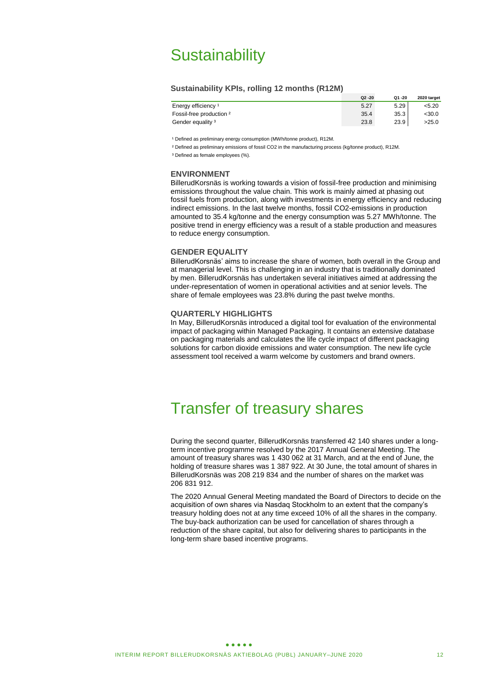# **Sustainability**

### **Sustainability KPIs, rolling 12 months (R12M)**

|                                | $Q2 - 20$ | Q1 -20 | 2020 target |
|--------------------------------|-----------|--------|-------------|
| Energy efficiency <sup>1</sup> | 5.27      | 5.29   | <5.20       |
| Fossil-free production 2       | 35.4      | 35.3   | <30.0       |
| Gender equality <sup>3</sup>   | 23.8      | 23.9   | >25.0       |

<sup>1</sup> Defined as preliminary energy consumption (MWh/tonne product), R12M.

² Defined as preliminary emissions of fossil CO2 in the manufacturing process (kg/tonne product), R12M. <sup>3</sup> Defined as female employees (%).

### **ENVIRONMENT**

BillerudKorsnäs is working towards a vision of fossil-free production and minimising emissions throughout the value chain. This work is mainly aimed at phasing out fossil fuels from production, along with investments in energy efficiency and reducing indirect emissions. In the last twelve months, fossil CO2-emissions in production amounted to 35.4 kg/tonne and the energy consumption was 5.27 MWh/tonne. The positive trend in energy efficiency was a result of a stable production and measures to reduce energy consumption.

#### **GENDER EQUALITY**

BillerudKorsnäs' aims to increase the share of women, both overall in the Group and at managerial level. This is challenging in an industry that is traditionally dominated by men. BillerudKorsnäs has undertaken several initiatives aimed at addressing the under-representation of women in operational activities and at senior levels. The share of female employees was 23.8% during the past twelve months.

### **QUARTERLY HIGHLIGHTS**

In May, BillerudKorsnäs introduced a digital tool for evaluation of the environmental impact of packaging within Managed Packaging. It contains an extensive database on packaging materials and calculates the life cycle impact of different packaging solutions for carbon dioxide emissions and water consumption. The new life cycle assessment tool received a warm welcome by customers and brand owners.

# Transfer of treasury shares

During the second quarter, BillerudKorsnäs transferred 42 140 shares under a longterm incentive programme resolved by the 2017 Annual General Meeting. The amount of treasury shares was 1 430 062 at 31 March, and at the end of June, the holding of treasure shares was 1 387 922. At 30 June, the total amount of shares in BillerudKorsnäs was 208 219 834 and the number of shares on the market was 206 831 912.

The 2020 Annual General Meeting mandated the Board of Directors to decide on the acquisition of own shares via Nasdaq Stockholm to an extent that the company's treasury holding does not at any time exceed 10% of all the shares in the company. The buy-back authorization can be used for cancellation of shares through a reduction of the share capital, but also for delivering shares to participants in the long-term share based incentive programs.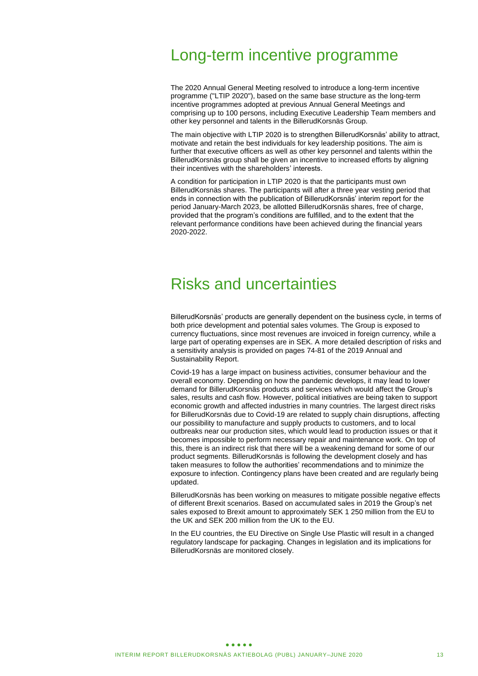# Long-term incentive programme

The 2020 Annual General Meeting resolved to introduce a long-term incentive programme ("LTIP 2020"), based on the same base structure as the long-term incentive programmes adopted at previous Annual General Meetings and comprising up to 100 persons, including Executive Leadership Team members and other key personnel and talents in the BillerudKorsnäs Group.

The main objective with LTIP 2020 is to strengthen BillerudKorsnäs' ability to attract, motivate and retain the best individuals for key leadership positions. The aim is further that executive officers as well as other key personnel and talents within the BillerudKorsnäs group shall be given an incentive to increased efforts by aligning their incentives with the shareholders' interests.

A condition for participation in LTIP 2020 is that the participants must own BillerudKorsnäs shares. The participants will after a three year vesting period that ends in connection with the publication of BillerudKorsnäs' interim report for the period January-March 2023, be allotted BillerudKorsnäs shares, free of charge, provided that the program's conditions are fulfilled, and to the extent that the relevant performance conditions have been achieved during the financial years 2020-2022.

# Risks and uncertainties

BillerudKorsnäs' products are generally dependent on the business cycle, in terms of both price development and potential sales volumes. The Group is exposed to currency fluctuations, since most revenues are invoiced in foreign currency, while a large part of operating expenses are in SEK. A more detailed description of risks and a sensitivity analysis is provided on pages 74-81 of the 2019 Annual and Sustainability Report.

Covid-19 has a large impact on business activities, consumer behaviour and the overall economy. Depending on how the pandemic develops, it may lead to lower demand for BillerudKorsnäs products and services which would affect the Group's sales, results and cash flow. However, political initiatives are being taken to support economic growth and affected industries in many countries. The largest direct risks for BillerudKorsnäs due to Covid-19 are related to supply chain disruptions, affecting our possibility to manufacture and supply products to customers, and to local outbreaks near our production sites, which would lead to production issues or that it becomes impossible to perform necessary repair and maintenance work. On top of this, there is an indirect risk that there will be a weakening demand for some of our product segments. BillerudKorsnäs is following the development closely and has taken measures to follow the authorities' recommendations and to minimize the exposure to infection. Contingency plans have been created and are regularly being updated.

BillerudKorsnäs has been working on measures to mitigate possible negative effects of different Brexit scenarios. Based on accumulated sales in 2019 the Group's net sales exposed to Brexit amount to approximately SEK 1 250 million from the EU to the UK and SEK 200 million from the UK to the EU.

In the EU countries, the EU Directive on Single Use Plastic will result in a changed regulatory landscape for packaging. Changes in legislation and its implications for BillerudKorsnäs are monitored closely.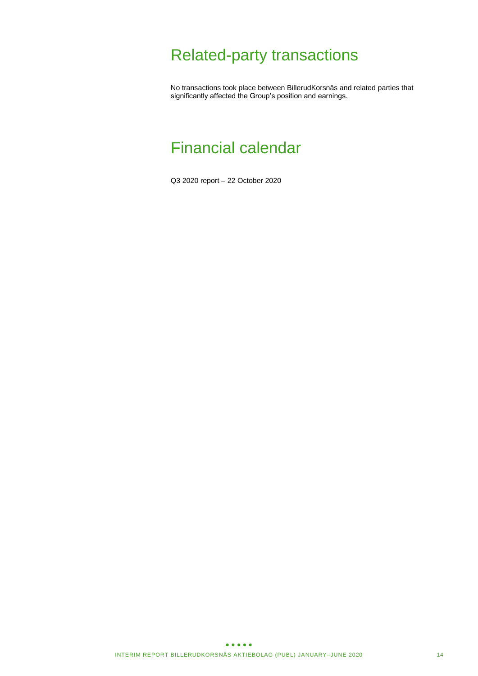# Related-party transactions

No transactions took place between BillerudKorsnäs and related parties that significantly affected the Group's position and earnings.

# Financial calendar

Q3 2020 report – 22 October 2020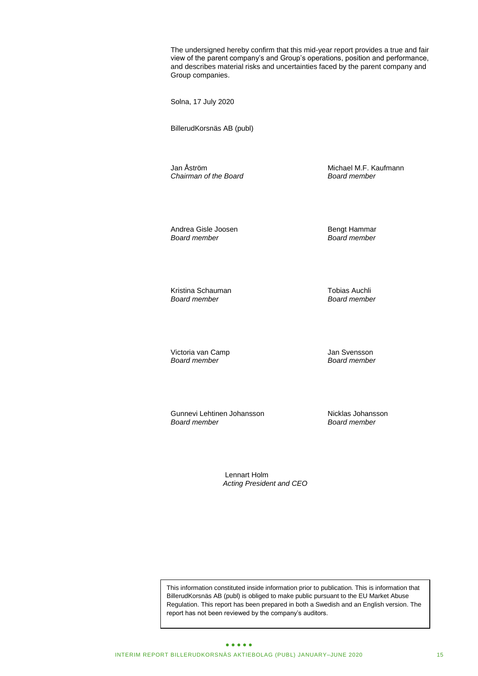The undersigned hereby confirm that this mid-year report provides a true and fair view of the parent company's and Group's operations, position and performance, and describes material risks and uncertainties faced by the parent company and Group companies.

Solna, 17 July 2020

BillerudKorsnäs AB (publ)

*Chairman of the Board Board member*

Jan Åström Michael M.F. Kaufmann<br>Chairman of the Board Michael Board Member

Andrea Gisle Joosen and Bengt Hammar<br>Board member Board member

*Board member Board member*

Kristina Schauman **Tobias Auchli**<br>Board member **Tobias Auchli** Board member *Board member Board member*

Victoria van Camp Jan Svensson *Board member Board member*

Gunnevi Lehtinen Johansson<br>Board member Board member *Board member Board member*

Lennart Holm *Acting President and CEO*

This information constituted inside information prior to publication. This is information that BillerudKorsnäs AB (publ) is obliged to make public pursuant to the EU Market Abuse Regulation. This report has been prepared in both a Swedish and an English version. The report has not been reviewed by the company's auditors.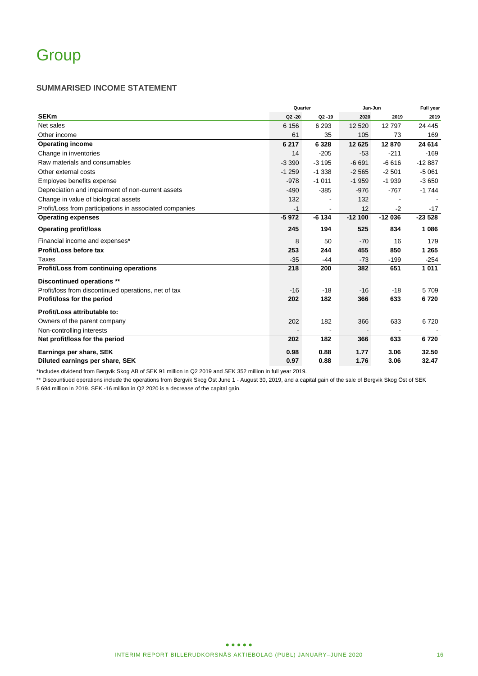### **SUMMARISED INCOME STATEMENT**

|                                                         | Quarter   | Jan-Jun   | Full year |          |          |
|---------------------------------------------------------|-----------|-----------|-----------|----------|----------|
| <b>SEKm</b>                                             | $Q2 - 20$ | $Q2 - 19$ | 2020      | 2019     | 2019     |
| Net sales                                               | 6 1 5 6   | 6 2 9 3   | 12 5 20   | 12797    | 24 4 45  |
| Other income                                            | 61        | 35        | 105       | 73       | 169      |
| <b>Operating income</b>                                 | 6 217     | 6 3 2 8   | 12 6 25   | 12870    | 24 614   |
| Change in inventories                                   | 14        | $-205$    | $-53$     | $-211$   | $-169$   |
| Raw materials and consumables                           | $-3390$   | $-3195$   | $-6691$   | $-6616$  | $-12887$ |
| Other external costs                                    | $-1259$   | $-1.338$  | $-2565$   | $-2501$  | $-5061$  |
| Employee benefits expense                               | $-978$    | $-1011$   | $-1959$   | $-1939$  | $-3650$  |
| Depreciation and impairment of non-current assets       | $-490$    | $-385$    | $-976$    | $-767$   | $-1744$  |
| Change in value of biological assets                    | 132       |           | 132       |          |          |
| Profit/Loss from participations in associated companies | $-1$      |           | 12        | $-2$     | $-17$    |
| <b>Operating expenses</b>                               | $-5972$   | $-6134$   | $-12100$  | $-12036$ | $-23528$ |
| <b>Operating profit/loss</b>                            | 245       | 194       | 525       | 834      | 1086     |
| Financial income and expenses*                          | 8         | 50        | $-70$     | 16       | 179      |
| Profit/Loss before tax                                  | 253       | 244       | 455       | 850      | 1 2 6 5  |
| Taxes                                                   | $-35$     | $-44$     | $-73$     | $-199$   | $-254$   |
| Profit/Loss from continuing operations                  | 218       | 200       | 382       | 651      | 1011     |
| Discontinued operations **                              |           |           |           |          |          |
| Profit/loss from discontinued operations, net of tax    | $-16$     | $-18$     | $-16$     | $-18$    | 5 7 0 9  |
| Profit/loss for the period                              | 202       | 182       | 366       | 633      | 6720     |
| Profit/Loss attributable to:                            |           |           |           |          |          |
| Owners of the parent company                            | 202       | 182       | 366       | 633      | 6720     |
| Non-controlling interests                               |           |           |           |          |          |
| Net profit/loss for the period                          | 202       | 182       | 366       | 633      | 6720     |
| Earnings per share, SEK                                 | 0.98      | 0.88      | 1.77      | 3.06     | 32.50    |
| Diluted earnings per share, SEK                         | 0.97      | 0.88      | 1.76      | 3.06     | 32.47    |

\*Includes dividend from Bergvik Skog AB of SEK 91 million in Q2 2019 and SEK 352 million in full year 2019.

\*\* Discountiued operations include the operations from Bergvik Skog Öst June 1 - August 30, 2019, and a capital gain of the sale of Bergvik Skog Öst of SEK 5 694 million in 2019. SEK -16 million in Q2 2020 is a decrease of the capital gain.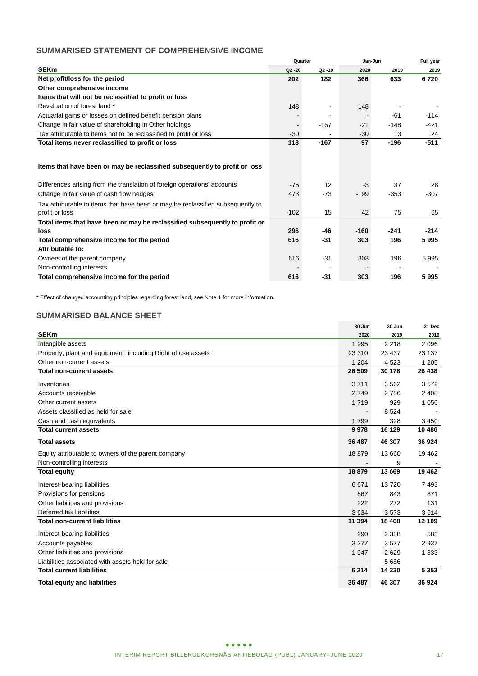# **SUMMARISED STATEMENT OF COMPREHENSIVE INCOME**

|                                                                                 |           | Quarter   |        | Jan-Jun |        |
|---------------------------------------------------------------------------------|-----------|-----------|--------|---------|--------|
| <b>SEKm</b>                                                                     | $Q2 - 20$ | $Q2 - 19$ | 2020   | 2019    | 2019   |
| Net profit/loss for the period                                                  | 202       | 182       | 366    | 633     | 6720   |
| Other comprehensive income                                                      |           |           |        |         |        |
| Items that will not be reclassified to profit or loss                           |           |           |        |         |        |
| Revaluation of forest land *                                                    | 148       |           | 148    |         |        |
| Actuarial gains or losses on defined benefit pension plans                      |           |           |        | $-61$   | $-114$ |
| Change in fair value of shareholding in Other holdings                          |           | $-167$    | $-21$  | $-148$  | -421   |
| Tax attributable to items not to be reclassified to profit or loss              | $-30$     |           | $-30$  | 13      | 24     |
| Total items never reclassified to profit or loss                                | 118       | $-167$    | 97     | $-196$  | $-511$ |
|                                                                                 |           |           |        |         |        |
| Items that have been or may be reclassified subsequently to profit or loss      |           |           |        |         |        |
| Differences arising from the translation of foreign operations' accounts        | $-75$     | 12        | $-3$   | 37      | 28     |
| Change in fair value of cash flow hedges                                        | 473       | $-73$     | $-199$ | $-353$  | $-307$ |
| Tax attributable to items that have been or may be reclassified subsequently to |           |           |        |         |        |
| profit or loss                                                                  | $-102$    | 15        | 42     | 75      | 65     |
| Total items that have been or may be reclassified subsequently to profit or     |           |           |        |         |        |
| loss                                                                            | 296       | $-46$     | $-160$ | $-241$  | $-214$ |
| Total comprehensive income for the period                                       | 616       | $-31$     | 303    | 196     | 5995   |
| Attributable to:                                                                |           |           |        |         |        |
| Owners of the parent company                                                    | 616       | $-31$     | 303    | 196     | 5995   |
| Non-controlling interests                                                       |           |           |        |         |        |
| Total comprehensive income for the period                                       | 616       | $-31$     | 303    | 196     | 5995   |

\* Effect of changed accounting principles regarding forest land, see Note 1 for more information.

# **SUMMARISED BALANCE SHEET**

|                                                              | 30 Jun  | 30 Jun  | 31 Dec  |
|--------------------------------------------------------------|---------|---------|---------|
| <b>SEKm</b>                                                  | 2020    | 2019    | 2019    |
| Intangible assets                                            | 1 9 9 5 | 2 2 1 8 | 2096    |
| Property, plant and equipment, including Right of use assets | 23 310  | 23 4 37 | 23 137  |
| Other non-current assets                                     | 1 2 0 4 | 4523    | 1 2 0 5 |
| <b>Total non-current assets</b>                              | 26 509  | 30 178  | 26 438  |
| Inventories                                                  | 3711    | 3562    | 3572    |
| Accounts receivable                                          | 2749    | 2786    | 2 4 0 8 |
| Other current assets                                         | 1719    | 929     | 1 0 5 6 |
| Assets classified as held for sale                           |         | 8524    |         |
| Cash and cash equivalents                                    | 1799    | 328     | 3 4 5 0 |
| <b>Total current assets</b>                                  | 9978    | 16 129  | 10 486  |
| <b>Total assets</b>                                          | 36 487  | 46 307  | 36 924  |
| Equity attributable to owners of the parent company          | 18 879  | 13 660  | 19 4 62 |
| Non-controlling interests                                    |         | 9       |         |
| <b>Total equity</b>                                          | 18 879  | 13 669  | 19 4 62 |
| Interest-bearing liabilities                                 | 6671    | 13720   | 7493    |
| Provisions for pensions                                      | 867     | 843     | 871     |
| Other liabilities and provisions                             | 222     | 272     | 131     |
| Deferred tax liabilities                                     | 3634    | 3573    | 3614    |
| <b>Total non-current liabilities</b>                         | 11 394  | 18 4 08 | 12 109  |
| Interest-bearing liabilities                                 | 990     | 2 3 3 8 | 583     |
| Accounts payables                                            | 3 2 7 7 | 3577    | 2937    |
| Other liabilities and provisions                             | 1 947   | 2629    | 1833    |
| Liabilities associated with assets held for sale             |         | 5686    |         |
| <b>Total current liabilities</b>                             | 6 2 1 4 | 14 230  | 5 3 5 3 |
| <b>Total equity and liabilities</b>                          | 36 487  | 46 307  | 36 924  |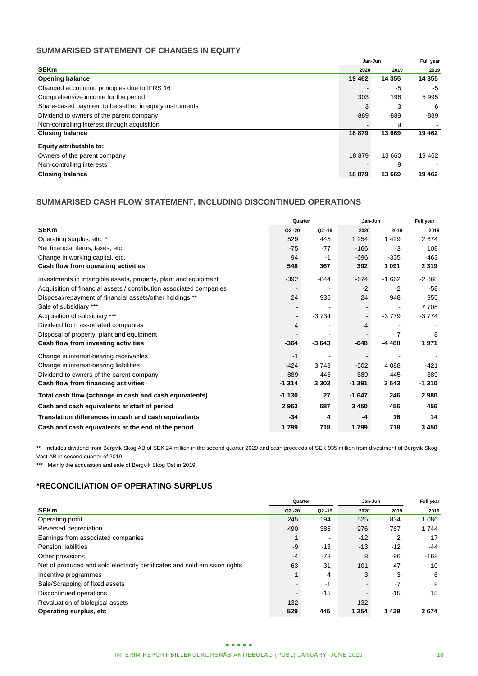# **SUMMARISED STATEMENT OF CHANGES IN EQUITY**

|                                                         |         | Jan-Jun  |         |  |
|---------------------------------------------------------|---------|----------|---------|--|
| <b>SEKm</b>                                             | 2020    | 2019     | 2019    |  |
| <b>Opening balance</b>                                  | 19 4 62 | 14 3 5 5 | 14 355  |  |
| Changed accounting principles due to IFRS 16            |         | -5       | -5      |  |
| Comprehensive income for the period                     | 303     | 196      | 5995    |  |
| Share-based payment to be settled in equity instruments | 3       | 3        | -6      |  |
| Dividend to owners of the parent company                | $-889$  | -889     | -889    |  |
| Non-controlling interest through acquisition            |         | 9        |         |  |
| <b>Closing balance</b>                                  | 18879   | 13 669   | 19 4 62 |  |
| Equity attributable to:                                 |         |          |         |  |
| Owners of the parent company                            | 18879   | 13 660   | 19 4 62 |  |
| Non-controlling interests                               |         | 9        |         |  |
| <b>Closing balance</b>                                  | 18879   | 13 669   | 19 4 62 |  |

# **SUMMARISED CASH FLOW STATEMENT, INCLUDING DISCONTINUED OPERATIONS**

|                                                                     | Quarter        |           | Jan-Jun  | Full year |         |
|---------------------------------------------------------------------|----------------|-----------|----------|-----------|---------|
| <b>SEKm</b>                                                         | $Q2 - 20$      | $Q2 - 19$ | 2020     | 2019      | 2019    |
| Operating surplus, etc. *                                           | 529            | 445       | 1 2 5 4  | 1429      | 2674    |
| Net financial items, taxes, etc.                                    | $-75$          | $-77$     | $-166$   | $-3$      | 108     |
| Change in working capital, etc.                                     | 94             | $-1$      | $-696$   | $-335$    | $-463$  |
| Cash flow from operating activities                                 | 548            | 367       | 392      | 1091      | 2 3 1 9 |
| Investments in intangible assets, property, plant and equipment     | $-392$         | $-844$    | $-674$   | $-1662$   | $-2868$ |
| Acquisition of financial assets / contribution associated companies |                |           | $-2$     | $-2$      | $-58$   |
| Disposal/repayment of financial assets/other holdings **            | 24             | 935       | 24       | 948       | 955     |
| Sale of subsidiary ***                                              |                |           |          |           | 7708    |
| Acquisition of subsidiary ***                                       | $\blacksquare$ | $-3734$   |          | $-3779$   | $-3774$ |
| Dividend from associated companies                                  | 4              |           | 4        |           |         |
| Disposal of property, plant and equipment                           |                |           |          | 7         | 8       |
| Cash flow from investing activities                                 | $-364$         | $-3643$   | $-648$   | $-4488$   | 1971    |
| Change in interest-bearing receivables                              | $-1$           |           |          |           |         |
| Change in interest-bearing liabilities                              | $-424$         | 3748      | $-502$   | 4 0 8 8   | $-421$  |
| Dividend to owners of the parent company                            | $-889$         | $-445$    | $-889$   | $-445$    | $-889$  |
| Cash flow from financing activities                                 | $-1314$        | 3 3 0 3   | $-1.391$ | 3643      | $-1310$ |
| Total cash flow (=change in cash and cash equivalents)              | $-1130$        | 27        | $-1647$  | 246       | 2980    |
| Cash and cash equivalents at start of period                        | 2963           | 687       | 3 4 5 0  | 456       | 456     |
| Translation differences in cash and cash equivalents                | $-34$          | 4         | -4       | 16        | 14      |
| Cash and cash equivalents at the end of the period                  | 1799           | 718       | 1799     | 718       | 3 4 5 0 |

**\*\*** Includes dividend from Bergvik Skog AB of SEK 24 million in the second quarter 2020 and cash proceeds of SEK 935 million from divestment of Bergvik Skog Väst AB in second quarter of 2019.

**\*\*\*** Mainly the acquisition and sale of Bergvik Skog Öst in 2019.

# **\*RECONCILIATION OF OPERATING SURPLUS**

|                                                                            |           | Quarter                  | Jan-Jun | Full year |         |
|----------------------------------------------------------------------------|-----------|--------------------------|---------|-----------|---------|
| <b>SEKm</b>                                                                | $Q2 - 20$ | $Q2 - 19$                | 2020    | 2019      | 2019    |
| Operating profit                                                           | 245       | 194                      | 525     | 834       | 1 0 8 6 |
| Reversed depreciation                                                      | 490       | 385                      | 976     | 767       | 1 744   |
| Earnings from associated companies                                         |           | ۰                        | $-12$   |           | 17      |
| <b>Pension liabilities</b>                                                 | $-9$      | $-13$                    | $-13$   | $-12$     | -44     |
| Other provisions                                                           | $-4$      | -78                      | 8       | $-96$     | $-168$  |
| Net of produced and sold electricity certificates and sold emission rights | $-63$     | $-31$                    | $-101$  | $-47$     | 10      |
| Incentive programmes                                                       |           | 4                        | 3       | 3         | 6       |
| Sale/Scrapping of fixed assets                                             |           | -1                       |         | $-7$      | 8       |
| Discontinued operations                                                    |           | $-15$                    |         | $-15$     | 15      |
| Revaluation of biological assets                                           | $-132$    | $\overline{\phantom{a}}$ | $-132$  |           |         |
| Operating surplus, etc                                                     | 529       | 445                      | 1 2 5 4 | 1429      | 2674    |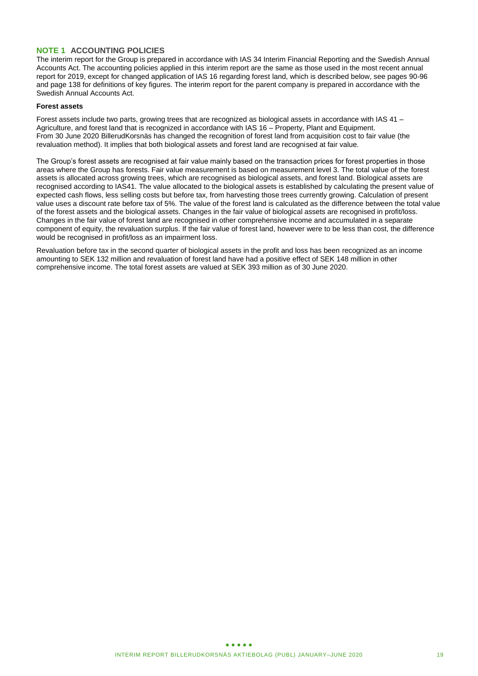### **NOTE 1 ACCOUNTING POLICIES**

The interim report for the Group is prepared in accordance with IAS 34 Interim Financial Reporting and the Swedish Annual Accounts Act. The accounting policies applied in this interim report are the same as those used in the most recent annual report for 2019, except for changed application of IAS 16 regarding forest land, which is described below, see pages 90-96 and page 138 for definitions of key figures. The interim report for the parent company is prepared in accordance with the Swedish Annual Accounts Act.

### **Forest assets**

Forest assets include two parts, growing trees that are recognized as biological assets in accordance with IAS 41 – Agriculture, and forest land that is recognized in accordance with IAS 16 – Property, Plant and Equipment. From 30 June 2020 BillerudKorsnäs has changed the recognition of forest land from acquisition cost to fair value (the revaluation method). It implies that both biological assets and forest land are recognised at fair value.

The Group's forest assets are recognised at fair value mainly based on the transaction prices for forest properties in those areas where the Group has forests. Fair value measurement is based on measurement level 3. The total value of the forest assets is allocated across growing trees, which are recognised as biological assets, and forest land. Biological assets are recognised according to IAS41. The value allocated to the biological assets is established by calculating the present value of expected cash flows, less selling costs but before tax, from harvesting those trees currently growing. Calculation of present value uses a discount rate before tax of 5%. The value of the forest land is calculated as the difference between the total value of the forest assets and the biological assets. Changes in the fair value of biological assets are recognised in profit/loss. Changes in the fair value of forest land are recognised in other comprehensive income and accumulated in a separate component of equity, the revaluation surplus. If the fair value of forest land, however were to be less than cost, the difference would be recognised in profit/loss as an impairment loss.

Revaluation before tax in the second quarter of biological assets in the profit and loss has been recognized as an income amounting to SEK 132 million and revaluation of forest land have had a positive effect of SEK 148 million in other comprehensive income. The total forest assets are valued at SEK 393 million as of 30 June 2020.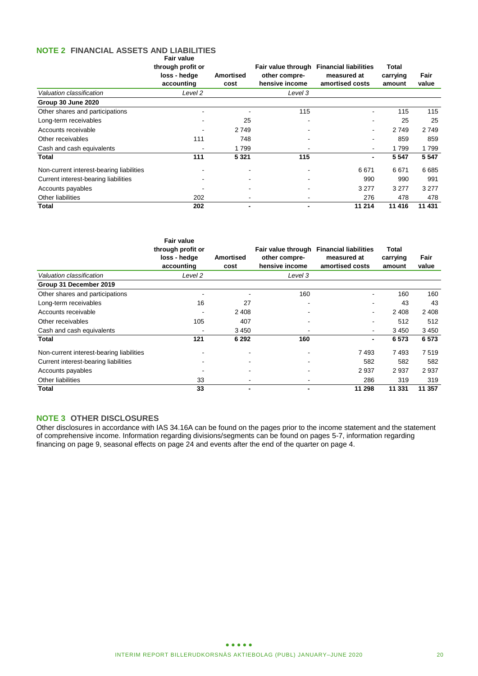#### **NOTE 2 FINANCIAL ASSETS AND LIABILITIES Fair value**

|                                          | ι αιι ναιυσ<br>through profit or<br>loss - hedge<br>accounting | <b>Amortised</b><br>cost | Fair value through<br>other compre-<br>hensive income | <b>Financial liabilities</b><br>measured at<br>amortised costs | <b>Total</b><br>carrying<br>amount | Fair<br>value |
|------------------------------------------|----------------------------------------------------------------|--------------------------|-------------------------------------------------------|----------------------------------------------------------------|------------------------------------|---------------|
| Valuation classification                 | Level 2                                                        |                          | Level 3                                               |                                                                |                                    |               |
| Group 30 June 2020                       |                                                                |                          |                                                       |                                                                |                                    |               |
| Other shares and participations          |                                                                |                          | 115                                                   |                                                                | 115                                | 115           |
| Long-term receivables                    |                                                                | 25                       | $\blacksquare$                                        |                                                                | 25                                 | 25            |
| Accounts receivable                      |                                                                | 2 7 4 9                  |                                                       | $\blacksquare$                                                 | 2749                               | 2 7 4 9       |
| Other receivables                        | 111                                                            | 748                      |                                                       |                                                                | 859                                | 859           |
| Cash and cash equivalents                | <b>.</b>                                                       | 1799                     |                                                       | $\blacksquare$                                                 | 1799                               | 1799          |
| Total                                    | 111                                                            | 5 3 2 1                  | 115                                                   | $\blacksquare$                                                 | 5 5 4 7                            | 5 5 4 7       |
| Non-current interest-bearing liabilities |                                                                |                          |                                                       | 6671                                                           | 6671                               | 6685          |
| Current interest-bearing liabilities     |                                                                |                          |                                                       | 990                                                            | 990                                | 991           |
| Accounts payables                        |                                                                |                          |                                                       | 3 2 7 7                                                        | 3 2 7 7                            | 3 2 7 7       |
| Other liabilities                        | 202                                                            |                          |                                                       | 276                                                            | 478                                | 478           |
| <b>Total</b>                             | 202                                                            |                          |                                                       | 11 214                                                         | 11 416                             | 11 431        |

|                                          | <b>Fair value</b><br>through profit or<br>loss - hedge<br>accounting | Amortised<br>cost        | other compre-<br>hensive income | Fair value through Financial liabilities<br>measured at<br>amortised costs | <b>Total</b><br>carrying<br>amount | Fair<br>value |
|------------------------------------------|----------------------------------------------------------------------|--------------------------|---------------------------------|----------------------------------------------------------------------------|------------------------------------|---------------|
| Valuation classification                 | Level 2                                                              |                          | Level 3                         |                                                                            |                                    |               |
| Group 31 December 2019                   |                                                                      |                          |                                 |                                                                            |                                    |               |
| Other shares and participations          |                                                                      |                          | 160                             | $\blacksquare$                                                             | 160                                | 160           |
| Long-term receivables                    | 16                                                                   | 27                       |                                 | $\blacksquare$                                                             | 43                                 | 43            |
| Accounts receivable                      |                                                                      | 2 4 0 8                  |                                 | ۰                                                                          | 2 4 0 8                            | 2 4 0 8       |
| Other receivables                        | 105                                                                  | 407                      |                                 |                                                                            | 512                                | 512           |
| Cash and cash equivalents                |                                                                      | 3 4 5 0                  |                                 | ۰                                                                          | 3450                               | 3 4 5 0       |
| Total                                    | 121                                                                  | 6 2 9 2                  | 160                             | $\blacksquare$                                                             | 6573                               | 6573          |
| Non-current interest-bearing liabilities |                                                                      |                          |                                 | 7493                                                                       | 7493                               | 7519          |
| Current interest-bearing liabilities     |                                                                      |                          |                                 | 582                                                                        | 582                                | 582           |
| Accounts payables                        |                                                                      | ۰                        |                                 | 2937                                                                       | 2937                               | 2937          |
| Other liabilities                        | 33                                                                   | $\overline{\phantom{a}}$ |                                 | 286                                                                        | 319                                | 319           |
| Total                                    | 33                                                                   | $\blacksquare$           | $\overline{\phantom{0}}$        | 11 298                                                                     | 11 331                             | 11 357        |

# **NOTE 3 OTHER DISCLOSURES**

Other disclosures in accordance with IAS 34.16A can be found on the pages prior to the income statement and the statement of comprehensive income. Information regarding divisions/segments can be found on pages 5-7, information regarding financing on page 9, seasonal effects on page 24 and events after the end of the quarter on page 4.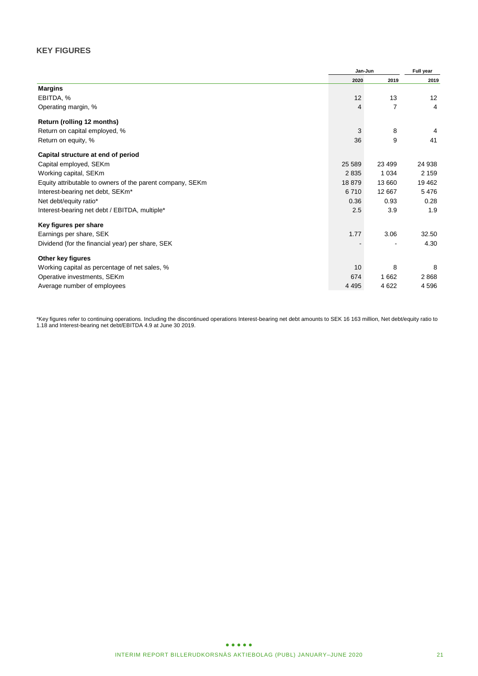# **KEY FIGURES**

|                                                           | Jan-Jun | Full year |         |
|-----------------------------------------------------------|---------|-----------|---------|
|                                                           | 2020    | 2019      | 2019    |
| <b>Margins</b>                                            |         |           |         |
| EBITDA, %                                                 | 12      | 13        | 12      |
| Operating margin, %                                       | 4       | 7         | 4       |
| Return (rolling 12 months)                                |         |           |         |
| Return on capital employed, %                             | 3       | 8         | 4       |
| Return on equity, %                                       | 36      | 9         | 41      |
| Capital structure at end of period                        |         |           |         |
| Capital employed, SEKm                                    | 25 5 89 | 23 4 9 9  | 24 938  |
| Working capital, SEKm                                     | 2835    | 1 0 3 4   | 2 1 5 9 |
| Equity attributable to owners of the parent company, SEKm | 18879   | 13 660    | 19 4 62 |
| Interest-bearing net debt, SEKm <sup>*</sup>              | 6710    | 12 667    | 5476    |
| Net debt/equity ratio*                                    | 0.36    | 0.93      | 0.28    |
| Interest-bearing net debt / EBITDA, multiple*             | 2.5     | 3.9       | 1.9     |
| Key figures per share                                     |         |           |         |
| Earnings per share, SEK                                   | 1.77    | 3.06      | 32.50   |
| Dividend (for the financial year) per share, SEK          |         |           | 4.30    |
| Other key figures                                         |         |           |         |
| Working capital as percentage of net sales, %             | 10      | 8         | 8       |
| Operative investments, SEKm                               | 674     | 1662      | 2868    |
| Average number of employees                               | 4 4 9 5 | 4622      | 4 5 9 6 |

\*Key figures refer to continuing operations. Including the discontinued operations Interest-bearing net debt amounts to SEK 16 163 million, Net debt/equity ratio to 1.18 and Interest-bearing net debt/EBITDA 4.9 at June 30 2019.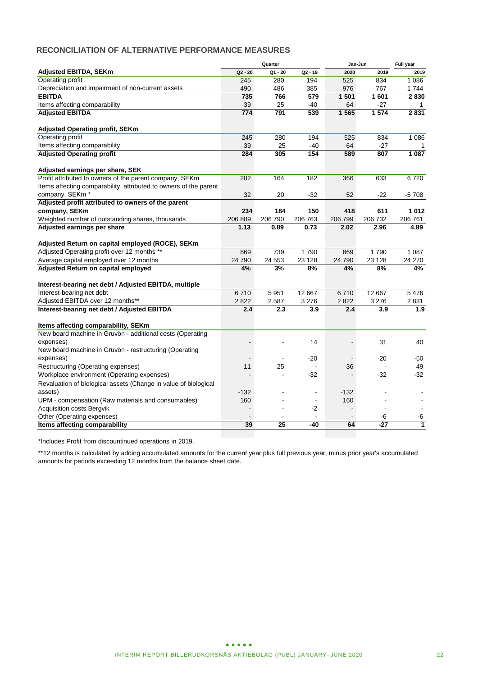# **RECONCILIATION OF ALTERNATIVE PERFORMANCE MEASURES**

|                                                                                                  |           | Quarter        |                          | Jan-Jun        |                          | Full year    |
|--------------------------------------------------------------------------------------------------|-----------|----------------|--------------------------|----------------|--------------------------|--------------|
| <b>Adjusted EBITDA, SEKm</b>                                                                     | $Q2 - 20$ | $Q1 - 20$      | $Q2 - 19$                | 2020           | 2019                     | 2019         |
| Operating profit                                                                                 | 245       | 280            | 194                      | 525            | 834                      | 1 0 8 6      |
| Depreciation and impairment of non-current assets                                                | 490       | 486            | 385                      | 976            | 767                      | 1 7 4 4      |
| <b>EBITDA</b>                                                                                    | 735       | 766            | 579                      | 1 501          | 1601                     | 2830         |
| Items affecting comparability                                                                    | 39        | 25             | $-40$                    | 64             | $-27$                    | $\mathbf{1}$ |
| <b>Adjusted EBITDA</b>                                                                           | 774       | 791            | 539                      | 1565           | 1 5 7 4                  | 2831         |
| <b>Adjusted Operating profit, SEKm</b>                                                           |           |                |                          |                |                          |              |
| Operating profit                                                                                 | 245       | 280            | 194                      | 525            | 834                      | 1 0 8 6      |
| Items affecting comparability                                                                    | 39        | 25             | $-40$                    | 64             | $-27$                    |              |
| <b>Adjusted Operating profit</b>                                                                 | 284       | 305            | 154                      | 589            | 807                      | 1 0 8 7      |
| Adjusted earnings per share, SEK                                                                 |           |                |                          |                |                          |              |
| Profit attributed to owners of the parent company, SEKm                                          | 202       | 164            | 182                      | 366            | 633                      | 6720         |
| Items affecting comparability, attributed to owners of the parent                                |           |                |                          |                |                          |              |
| company, SEKm <sup>*</sup>                                                                       | 32        | 20             | $-32$                    | 52             | $-22$                    | $-5708$      |
| Adjusted profit attributed to owners of the parent                                               |           |                |                          |                |                          |              |
| company, SEKm                                                                                    | 234       | 184            | 150                      | 418            | 611                      | 1012         |
| Weighted number of outstanding shares, thousands                                                 | 206 809   | 206 790        | 206 763                  | 206 799        | 206 732                  | 206 761      |
| Adjusted earnings per share                                                                      | 1.13      | 0.89           | 0.73                     | 2.02           | 2.96                     | 4.89         |
| Adjusted Return on capital employed (ROCE), SEKm                                                 |           |                |                          |                |                          |              |
| Adjusted Operating profit over 12 months **                                                      | 869       | 739            | 1790                     | 869            | 1790                     | 1 0 8 7      |
| Average capital employed over 12 months                                                          | 24 790    | 24 553         | 23 1 28                  | 24 790         | 23 1 28                  | 24 270       |
| Adjusted Return on capital employed                                                              | 4%        | 3%             | 8%                       | 4%             | 8%                       | 4%           |
| Interest-bearing net debt / Adjusted EBITDA, multiple                                            |           |                |                          |                |                          |              |
| Interest-bearing net debt                                                                        | 6710      | 5 9 5 1        | 12 667                   | 6710           | 12 667                   | 5476         |
| Adjusted EBITDA over 12 months**                                                                 | 2822      | 2587           | 3 2 7 6                  | 2822           | 3 2 7 6                  | 2831         |
| Interest-bearing net debt / Adjusted EBITDA                                                      | 2.4       | 2.3            | 3.9                      | 2.4            | 3.9                      | 1.9          |
|                                                                                                  |           |                |                          |                |                          |              |
| Items affecting comparability, SEKm<br>New board machine in Gruvön - additional costs (Operating |           |                |                          |                |                          |              |
| expenses)                                                                                        |           |                | 14                       | $\blacksquare$ | 31                       | 40           |
|                                                                                                  |           |                |                          |                |                          |              |
| New board machine in Gruvön - restructuring (Operating<br>expenses)                              |           | $\overline{a}$ | $-20$                    | $\blacksquare$ | $-20$                    | -50          |
| Restructuring (Operating expenses)                                                               | 11        | 25             |                          | 36             |                          | 49           |
| Workplace environment (Operating expenses)                                                       |           | L.             | $-32$                    |                | -32                      | $-32$        |
|                                                                                                  |           |                |                          |                |                          |              |
| Revaluation of biological assets (Change in value of biological                                  |           |                |                          |                |                          |              |
| assets)                                                                                          | $-132$    |                | $\overline{\phantom{0}}$ | $-132$         |                          |              |
| UPM - compensation (Raw materials and consumables)                                               | 160       | $\overline{a}$ | $\blacksquare$           | 160            | $\overline{\phantom{a}}$ |              |
| Acquisition costs Bergvik                                                                        |           |                | -2                       |                |                          |              |
| Other (Operating expenses)                                                                       |           |                |                          |                | -6                       | -6           |
| Items affecting comparability                                                                    | 39        | 25             | $-40$                    | 64             | $-27$                    | $\mathbf{1}$ |
|                                                                                                  |           |                |                          |                |                          |              |

\*Includes Profit from discountinued operations in 2019.

\*\*12 months is calculated by adding accumulated amounts for the current year plus full previous year, minus prior year's accumulated amounts for periods exceeding 12 months from the balance sheet date.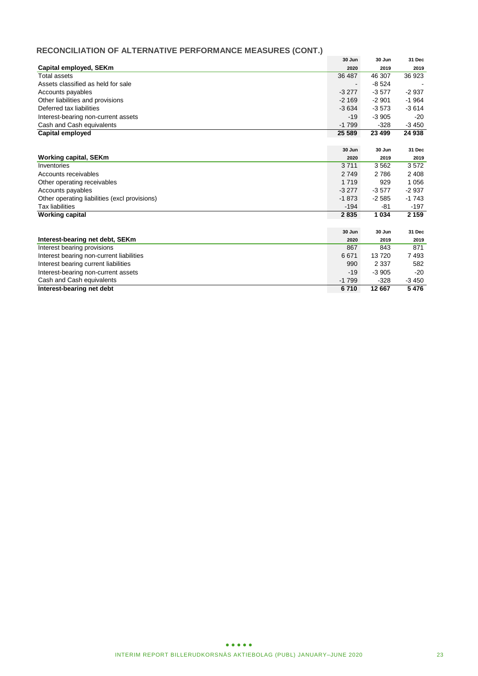# **RECONCILIATION OF ALTERNATIVE PERFORMANCE MEASURES (CONT.)**

|                                               | 30 Jun         | 30 Jun  | 31 Dec  |
|-----------------------------------------------|----------------|---------|---------|
| Capital employed, SEKm                        | 2020           | 2019    | 2019    |
| Total assets                                  | 36 487         | 46 307  | 36 923  |
| Assets classified as held for sale            | $\blacksquare$ | $-8524$ |         |
| Accounts payables                             | $-3277$        | $-3577$ | $-2937$ |
| Other liabilities and provisions              | $-2169$        | $-2901$ | $-1964$ |
| Deferred tax liabilities                      | $-3634$        | $-3573$ | $-3614$ |
| Interest-bearing non-current assets           | $-19$          | $-3905$ | $-20$   |
| Cash and Cash equivalents                     | $-1799$        | $-328$  | $-3450$ |
| Capital employed                              | 25 589         | 23 499  | 24 938  |
|                                               |                |         |         |
|                                               | 30 Jun         | 30 Jun  | 31 Dec  |
| <b>Working capital, SEKm</b>                  | 2020           | 2019    | 2019    |
| Inventories                                   | 3711           | 3562    | 3572    |
| Accounts receivables                          | 2 7 4 9        | 2786    | 2 4 0 8 |
| Other operating receivables                   | 1 7 1 9        | 929     | 1 0 5 6 |
| Accounts payables                             | $-3277$        | $-3577$ | $-2937$ |
| Other operating liabilities (excl provisions) | $-1873$        | $-2585$ | $-1743$ |
| Tax liabilities                               | $-194$         | -81     | $-197$  |
| <b>Working capital</b>                        | 2835           | 1 0 3 4 | 2 1 5 9 |
|                                               |                |         |         |
|                                               | 30 Jun         | 30 Jun  | 31 Dec  |
| Interest-bearing net debt, SEKm               | 2020           | 2019    | 2019    |
| Interest bearing provisions                   | 867            | 843     | 871     |
| Interest bearing non-current liabilities      | 6671           | 13720   | 7493    |
| Interest bearing current liabilities          | 990            | 2 3 3 7 | 582     |
| Interest-bearing non-current assets           | -19            | $-3905$ | $-20$   |
| Cash and Cash equivalents                     | $-1799$        | $-328$  | $-3450$ |
| Interest-bearing net debt                     | 6710           | 12 667  | 5476    |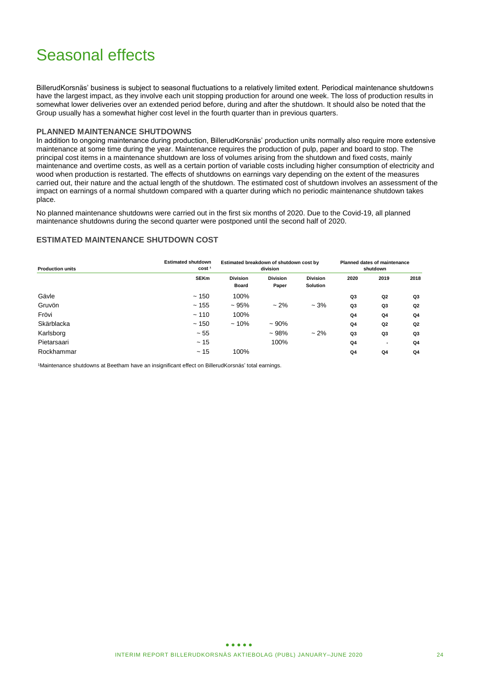# Seasonal effects

BillerudKorsnäs' business is subject to seasonal fluctuations to a relatively limited extent. Periodical maintenance shutdowns have the largest impact, as they involve each unit stopping production for around one week. The loss of production results in somewhat lower deliveries over an extended period before, during and after the shutdown. It should also be noted that the Group usually has a somewhat higher cost level in the fourth quarter than in previous quarters.

### **PLANNED MAINTENANCE SHUTDOWNS**

In addition to ongoing maintenance during production, BillerudKorsnäs' production units normally also require more extensive maintenance at some time during the year. Maintenance requires the production of pulp, paper and board to stop. The principal cost items in a maintenance shutdown are loss of volumes arising from the shutdown and fixed costs, mainly maintenance and overtime costs, as well as a certain portion of variable costs including higher consumption of electricity and wood when production is restarted. The effects of shutdowns on earnings vary depending on the extent of the measures carried out, their nature and the actual length of the shutdown. The estimated cost of shutdown involves an assessment of the impact on earnings of a normal shutdown compared with a quarter during which no periodic maintenance shutdown takes place.

No planned maintenance shutdowns were carried out in the first six months of 2020. Due to the Covid-19, all planned maintenance shutdowns during the second quarter were postponed until the second half of 2020.

### **ESTIMATED MAINTENANCE SHUTDOWN COST**

| <b>Production units</b> | <b>Estimated shutdown</b><br>cost <sup>1</sup> |                                 | Estimated breakdown of shutdown cost by<br>division | <b>Planned dates of maintenance</b><br>shutdown |                |                |                |
|-------------------------|------------------------------------------------|---------------------------------|-----------------------------------------------------|-------------------------------------------------|----------------|----------------|----------------|
|                         | <b>SEKm</b>                                    | <b>Division</b><br><b>Board</b> | <b>Division</b><br>Paper                            | <b>Division</b><br><b>Solution</b>              | 2020           | 2019           | 2018           |
| Gävle                   | ~150                                           | 100%                            |                                                     |                                                 | Q3             | Q2             | Q3             |
| Gruvön                  | ~155                                           | ~105%                           | $~2\%$                                              | $-3%$                                           | Q <sub>3</sub> | Q3             | Q <sub>2</sub> |
| Frövi                   | $-110$                                         | 100%                            |                                                     |                                                 | Q <sub>4</sub> | Q4             | Q <sub>4</sub> |
| Skärblacka              | ~150                                           | $~10\%$                         | $~100\%$                                            |                                                 | Q <sub>4</sub> | Q <sub>2</sub> | Q <sub>2</sub> |
| Karlsborg               | $~1$ - 55                                      |                                 | $~108\%$                                            | $~2\%$                                          | Q3             | Q3             | Q3             |
| Pietarsaari             | ~15                                            |                                 | 100%                                                |                                                 | Q <sub>4</sub> | ٠              | Q4             |
| Rockhammar              | ~15                                            | 100%                            |                                                     |                                                 | Q4             | Q4             | Q <sub>4</sub> |

1Maintenance shutdowns at Beetham have an insignificant effect on BillerudKorsnäs' total earnings.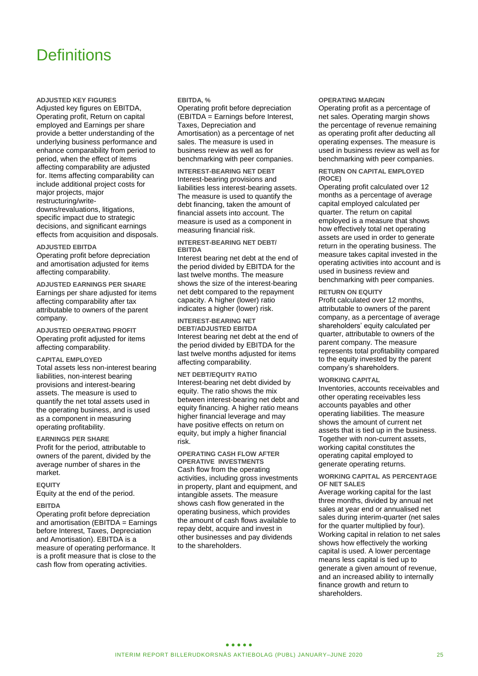# **Definitions**

**ADJUSTED KEY FIGURES**

Adjusted key figures on EBITDA, Operating profit, Return on capital employed and Earnings per share provide a better understanding of the underlying business performance and enhance comparability from period to period, when the effect of items affecting comparability are adjusted for. Items affecting comparability can include additional project costs for major projects, major restructuring/writedowns/revaluations, litigations, specific impact due to strategic decisions, and significant earnings effects from acquisition and disposals.

#### **ADJUSTED EBITDA**

Operating profit before depreciation and amortisation adjusted for items affecting comparability.

**ADJUSTED EARNINGS PER SHARE** Earnings per share adjusted for items affecting comparability after tax attributable to owners of the parent company.

**ADJUSTED OPERATING PROFIT** Operating profit adjusted for items affecting comparability.

### **CAPITAL EMPLOYED**

Total assets less non-interest bearing liabilities, non-interest bearing provisions and interest-bearing assets. The measure is used to quantify the net total assets used in the operating business, and is used as a component in measuring operating profitability.

#### **EARNINGS PER SHARE**

Profit for the period, attributable to owners of the parent, divided by the average number of shares in the market.

#### **EQUITY**

Equity at the end of the period.

#### **EBITDA**

Operating profit before depreciation and amortisation (EBITDA = Earnings before Interest, Taxes, Depreciation and Amortisation). EBITDA is a measure of operating performance. It is a profit measure that is close to the cash flow from operating activities.

#### **EBITDA, %**

Operating profit before depreciation (EBITDA = Earnings before Interest, Taxes, Depreciation and Amortisation) as a percentage of net sales. The measure is used in business review as well as for benchmarking with peer companies.

**INTEREST-BEARING NET DEBT** Interest-bearing provisions and liabilities less interest-bearing assets. The measure is used to quantify the debt financing, taken the amount of financial assets into account. The measure is used as a component in measuring financial risk.

#### **INTEREST-BEARING NET DEBT/ EBITDA**

Interest bearing net debt at the end of the period divided by EBITDA for the last twelve months. The measure shows the size of the interest-bearing net debt compared to the repayment capacity. A higher (lower) ratio indicates a higher (lower) risk.

**INTEREST-BEARING NET DEBT/ADJUSTED EBITDA** Interest bearing net debt at the end of the period divided by EBITDA for the last twelve months adjusted for items affecting comparability.

**NET DEBT/EQUITY RATIO** Interest-bearing net debt divided by equity. The ratio shows the mix between interest-bearing net debt and equity financing. A higher ratio means higher financial leverage and may have positive effects on return on equity, but imply a higher financial risk.

#### **OPERATING CASH FLOW AFTER OPERATIVE INVESTMENTS**

Cash flow from the operating activities, including gross investments in property, plant and equipment, and intangible assets. The measure shows cash flow generated in the operating business, which provides the amount of cash flows available to repay debt, acquire and invest in other businesses and pay dividends to the shareholders.

#### **OPERATING MARGIN**

Operating profit as a percentage of net sales. Operating margin shows the percentage of revenue remaining as operating profit after deducting all operating expenses. The measure is used in business review as well as for benchmarking with peer companies.

#### **RETURN ON CAPITAL EMPLOYED (ROCE)**

Operating profit calculated over 12 months as a percentage of average capital employed calculated per quarter. The return on capital employed is a measure that shows how effectively total net operating assets are used in order to generate return in the operating business. The measure takes capital invested in the operating activities into account and is used in business review and benchmarking with peer companies.

#### **RETURN ON EQUITY**

Profit calculated over 12 months, attributable to owners of the parent company, as a percentage of average shareholders' equity calculated per quarter, attributable to owners of the parent company. The measure represents total profitability compared to the equity invested by the parent company's shareholders.

#### **WORKING CAPITAL**

Inventories, accounts receivables and other operating receivables less accounts payables and other operating liabilities. The measure shows the amount of current net assets that is tied up in the business. Together with non-current assets, working capital constitutes the operating capital employed to generate operating returns.

#### **WORKING CAPITAL AS PERCENTAGE OF NET SALES**

Average working capital for the last three months, divided by annual net sales at year end or annualised net sales during interim-quarter (net sales for the quarter multiplied by four). Working capital in relation to net sales shows how effectively the working capital is used. A lower percentage means less capital is tied up to generate a given amount of revenue, and an increased ability to internally finance growth and return to shareholders.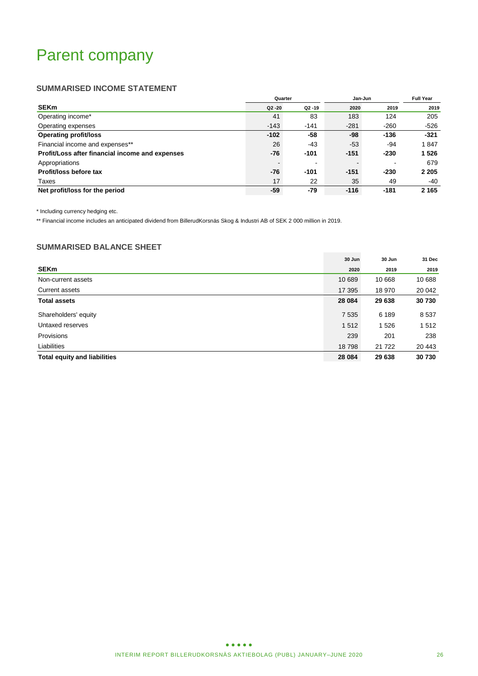# Parent company

# **SUMMARISED INCOME STATEMENT**

|                                                 | Quarter   |           | Jan-Jun |        | <b>Full Year</b> |
|-------------------------------------------------|-----------|-----------|---------|--------|------------------|
| <b>SEKm</b>                                     | $Q2 - 20$ | $Q2 - 19$ | 2020    | 2019   | 2019             |
| Operating income*                               | 41        | 83        | 183     | 124    | 205              |
| Operating expenses                              | $-143$    | $-141$    | $-281$  | $-260$ | $-526$           |
| <b>Operating profit/loss</b>                    | $-102$    | -58       | -98     | $-136$ | $-321$           |
| Financial income and expenses**                 | 26        | -43       | $-53$   | -94    | 1847             |
| Profit/Loss after financial income and expenses | -76       | $-101$    | $-151$  | $-230$ | 1 5 2 6          |
| Appropriations                                  |           |           |         |        | 679              |
| Profit/loss before tax                          | -76       | $-101$    | $-151$  | $-230$ | 2 2 0 5          |
| Taxes                                           | 17        | 22        | 35      | 49     | -40              |
| Net profit/loss for the period                  | -59       | $-79$     | $-116$  | $-181$ | 2 1 6 5          |

\* Including currency hedging etc.

\*\* Financial income includes an anticipated dividend from BillerudKorsnäs Skog & Industri AB of SEK 2 000 million in 2019.

# **SUMMARISED BALANCE SHEET**

|                                     | 30 Jun  | 30 Jun  | 31 Dec  |
|-------------------------------------|---------|---------|---------|
| <b>SEKm</b>                         | 2020    | 2019    | 2019    |
| Non-current assets                  | 10 689  | 10 668  | 10 688  |
| Current assets                      | 17 395  | 18 970  | 20 042  |
| <b>Total assets</b>                 | 28 0 84 | 29 638  | 30730   |
| Shareholders' equity                | 7 5 3 5 | 6 189   | 8 5 3 7 |
| Untaxed reserves                    | 1512    | 1 5 2 6 | 1 5 1 2 |
| Provisions                          | 239     | 201     | 238     |
| Liabilities                         | 18798   | 21 7 22 | 20 443  |
| <b>Total equity and liabilities</b> | 28 0 84 | 29 638  | 30 730  |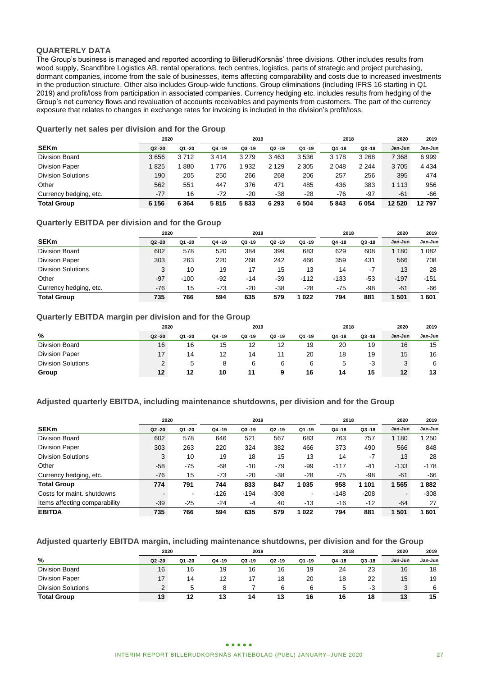### **QUARTERLY DATA**

The Group's business is managed and reported according to BillerudKorsnäs' three divisions. Other includes results from wood supply, Scandfibre Logistics AB, rental operations, tech centres, logistics, parts of strategic and project purchasing, dormant companies, income from the sale of businesses, items affecting comparability and costs due to increased investments in the production structure. Other also includes Group-wide functions, Group eliminations (including IFRS 16 starting in Q1 2019) and profit/loss from participation in associated companies. Currency hedging etc. includes results from hedging of the Group's net currency flows and revaluation of accounts receivables and payments from customers. The part of the currency exposure that relates to changes in exchange rates for invoicing is included in the division's profit/loss.

### **Quarterly net sales per division and for the Group**

|                           | 2020      |         | 2019      |           |           | 2018      |           | 2020      | 2019    |         |
|---------------------------|-----------|---------|-----------|-----------|-----------|-----------|-----------|-----------|---------|---------|
| <b>SEKm</b>               | $Q2 - 20$ | Q1 -20  | $Q4 - 19$ | $Q3 - 19$ | $Q2 - 19$ | $Q1 - 19$ | $Q4 - 18$ | $Q3 - 18$ | Jan-Jun | Jan-Jun |
| <b>Division Board</b>     | 3656      | 3712    | 3414      | 3 2 7 9   | 3463      | 3536      | 3 1 7 8   | 3 2 6 8   | 7 368   | 6999    |
| <b>Division Paper</b>     | 825       | 880     | 776       | 932       | 2 1 2 9   | 2 3 0 5   | 2 0 4 8   | 2 2 4 4   | 3705    | 4 4 3 4 |
| <b>Division Solutions</b> | 190       | 205     | 250       | 266       | 268       | 206       | 257       | 256       | 395     | 474     |
| Other                     | 562       | 551     | 447       | 376       | 471       | 485       | 436       | 383       | 1 1 1 3 | 956     |
| Currency hedging, etc.    | $-77$     | 16      | $-72$     | -20       | -38       | $-28$     | $-76$     | $-97$     | -61     | -66     |
| <b>Total Group</b>        | 6 1 5 6   | 6 3 6 4 | 5815      | 5833      | 6 2 9 3   | 6 5 0 4   | 5843      | 6 0 5 4   | 12 5 20 | 12797   |

### **Quarterly EBITDA per division and for the Group**

|                           | 2020      |        | 2019      |           |           | 2018      |           | 2020      | 2019    |         |
|---------------------------|-----------|--------|-----------|-----------|-----------|-----------|-----------|-----------|---------|---------|
| <b>SEKm</b>               | $Q2 - 20$ | Q1-20  | $Q4 - 19$ | $Q3 - 19$ | $Q2 - 19$ | $Q1 - 19$ | $Q4 - 18$ | $Q3 - 18$ | Jan-Jun | Jan-Jun |
| <b>Division Board</b>     | 602       | 578    | 520       | 384       | 399       | 683       | 629       | 608       | 1 1 8 0 | 082     |
| <b>Division Paper</b>     | 303       | 263    | 220       | 268       | 242       | 466       | 359       | 431       | 566     | 708     |
| <b>Division Solutions</b> | 3         | 10     | 19        | 17        | 15        | 13        | 14        | $-7$      | 13      | 28      |
| Other                     | $-97$     | $-100$ | $-92$     | -14       | -39       | $-112$    | $-133$    | $-53$     | $-197$  | -151    |
| Currency hedging, etc.    | $-76$     | 15     | $-73$     | $-20$     | $-38$     | $-28$     | $-75$     | -98       | $-61$   | -66     |
| <b>Total Group</b>        | 735       | 766    | 594       | 635       | 579       | 1022      | 794       | 881       | 501     | 601     |

### **Quarterly EBITDA margin per division and for the Group**

|                           | 2020          |        | 2019   |           |           |        | 2018   |           | 2020    | 2019    |
|---------------------------|---------------|--------|--------|-----------|-----------|--------|--------|-----------|---------|---------|
| %                         | Q2 -20        | Q1 -20 | Q4 -19 | $Q3 - 19$ | $Q2 - 19$ | Q1 -19 | Q4 -18 | $Q3 - 18$ | Jan-Jun | Jan-Jun |
| Division Board            | 16            | 16     | 15     | 12        | 12        | 19     | 20     | 19        | 16      | 15      |
| <b>Division Paper</b>     | 17            | 14     | 12     | 14        |           | 20     | 18     | 19        | 15      | 16      |
| <b>Division Solutions</b> | $\mathcal{D}$ |        |        | 6         | ิค        | 6      |        | -3        | 3       | 6       |
| Group                     | 12            | 12     | 10     |           |           | 16     | 14     | 15        | 12      | 13      |

### **Adjusted quarterly EBITDA, including maintenance shutdowns, per division and for the Group**

|                               | 2020      |        | 2019      |           |           |                | 2018      |           | 2020                     | 2019    |
|-------------------------------|-----------|--------|-----------|-----------|-----------|----------------|-----------|-----------|--------------------------|---------|
| <b>SEKm</b>                   | $Q2 - 20$ | Q1 -20 | $Q4 - 19$ | $Q3 - 19$ | $Q2 - 19$ | $Q1 - 19$      | $Q4 - 18$ | $Q3 - 18$ | Jan-Jun                  | Jan-Jun |
| Division Board                | 602       | 578    | 646       | 521       | 567       | 683            | 763       | 757       | 1 1 8 0                  | 1 250   |
| <b>Division Paper</b>         | 303       | 263    | 220       | 324       | 382       | 466            | 373       | 490       | 566                      | 848     |
| <b>Division Solutions</b>     | 3         | 10     | 19        | 18        | 15        | 13             | 14        | $-7$      | 13                       | 28      |
| Other                         | $-58$     | $-75$  | $-68$     | $-10$     | $-79$     | -99            | $-117$    | $-41$     | $-133$                   | $-178$  |
| Currency hedging, etc.        | $-76$     | 15     | $-73$     | $-20$     | $-38$     | $-28$          | $-75$     | -98       | $-61$                    | $-66$   |
| <b>Total Group</b>            | 774       | 791    | 744       | 833       | 847       | 1 0 3 5        | 958       | 1 1 0 1   | 1565                     | 882     |
| Costs for maint, shutdowns    |           | ۰      | $-126$    | $-194$    | $-308$    | $\blacksquare$ | $-148$    | $-208$    | $\overline{\phantom{a}}$ | $-308$  |
| Items affecting comparability | $-39$     | $-25$  | $-24$     | $-4$      | 40        | $-13$          | $-16$     | $-12$     | $-64$                    | 27      |
| <b>EBITDA</b>                 | 735       | 766    | 594       | 635       | 579       | 1022           | 794       | 881       | 1 501                    | 601     |

### **Adjusted quarterly EBITDA margin, including maintenance shutdowns, per division and for the Group**

|                           | 2020      |        | 2019   |           |        |       | 2018   |           | 2020    | 2019    |
|---------------------------|-----------|--------|--------|-----------|--------|-------|--------|-----------|---------|---------|
| %                         | $Q2 - 20$ | Q1 -20 | Q4 -19 | $Q3 - 19$ | Q2 -19 | Q1-19 | Q4 -18 | $Q3 - 18$ | Jan-Jun | Jan-Jun |
| Division Board            | 16        | 16     | 19     | 16        | 16     | 19    | 24     | 23        | 16      | 18      |
| <b>Division Paper</b>     |           | 14     | 12     |           | 18     | 20    | 18     | 22        | 15      | 19      |
| <b>Division Solutions</b> |           |        |        |           |        |       |        | -3        | 3       | 6       |
| <b>Total Group</b>        | 13        | 12     | 13     | 14        | 13     | 16    | 16     | 18        | 13      | 15      |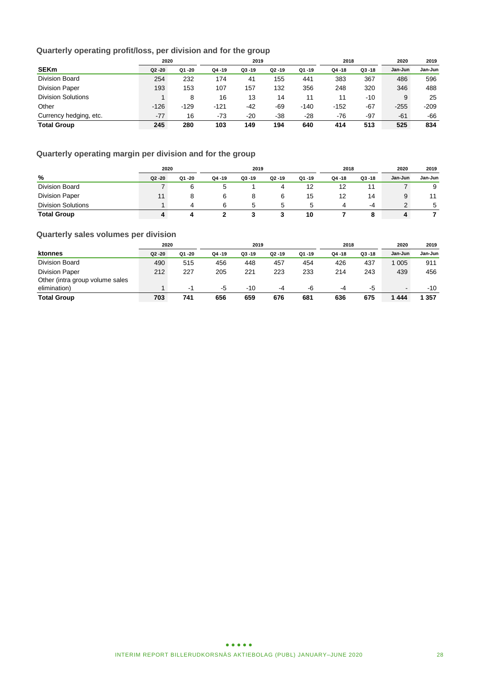# **Quarterly operating profit/loss, per division and for the group**

|                           | 2020      |        | 2019      |           |           |           | 2018      |           | 2020    | 2019    |
|---------------------------|-----------|--------|-----------|-----------|-----------|-----------|-----------|-----------|---------|---------|
| <b>SEKm</b>               | $Q2 - 20$ | Q1 -20 | $Q4 - 19$ | $Q3 - 19$ | $Q2 - 19$ | $Q1 - 19$ | $Q4 - 18$ | $Q3 - 18$ | Jan-Jun | Jan-Jun |
| <b>Division Board</b>     | 254       | 232    | 174       | 41        | 155       | 441       | 383       | 367       | 486     | 596     |
| <b>Division Paper</b>     | 193       | 153    | 107       | 157       | 132       | 356       | 248       | 320       | 346     | 488     |
| <b>Division Solutions</b> |           | 8      | 16        | 13        | 14        | 11        | 11        | $-10$     | 9       | 25      |
| Other                     | $-126$    | $-129$ | $-121$    | $-42$     | -69       | $-140$    | $-152$    | $-67$     | $-255$  | $-209$  |
| Currency hedging, etc.    | $-77$     | 16     | $-73$     | $-20$     | $-38$     | $-28$     | $-76$     | $-97$     | $-61$   | -66     |
| <b>Total Group</b>        | 245       | 280    | 103       | 149       | 194       | 640       | 414       | 513       | 525     | 834     |

# **Quarterly operating margin per division and for the group**

|                           |           | 2020     |        | 2019      |        |        |        | 2018      |         | 2019    |
|---------------------------|-----------|----------|--------|-----------|--------|--------|--------|-----------|---------|---------|
| %                         | $Q2 - 20$ | Q1 -20   | Q4 -19 | $Q3 - 19$ | Q2 -19 | Q1 -19 | Q4 -18 | $Q3 - 18$ | Jan-Jun | Jan-Jun |
| Division Board            |           |          |        |           |        |        |        | 11        |         | 9       |
| <b>Division Paper</b>     |           |          |        |           |        | 15     | 12     | 14        | 9       | 11      |
| <b>Division Solutions</b> |           | $\Delta$ |        | 5         | :5     | 5      |        | -4        |         | 5       |
| <b>Total Group</b>        |           |          |        |           |        | 10     |        |           | 4       |         |

# **Quarterly sales volumes per division**

|                                 | 2020      |        | 2019      |           |           |           | 2018      |           | 2020    | 2019    |
|---------------------------------|-----------|--------|-----------|-----------|-----------|-----------|-----------|-----------|---------|---------|
| ktonnes                         | $Q2 - 20$ | Q1 -20 | $Q4 - 19$ | $Q3 - 19$ | $Q2 - 19$ | $Q1 - 19$ | $Q4 - 18$ | $Q3 - 18$ | Jan-Jun | Jan-Jun |
| Division Board                  | 490       | 515    | 456       | 448       | 457       | 454       | 426       | 437       | 005     | 911     |
| <b>Division Paper</b>           | 212       | 227    | 205       | 221       | 223       | 233       | 214       | 243       | 439     | 456     |
| Other (intra group volume sales |           |        |           |           |           |           |           |           |         |         |
| elimination)                    |           | -1     | -5        | $-10$     | -4        | -6        | -4        | -5        | $\sim$  | $-10$   |
| <b>Total Group</b>              | 703       | 741    | 656       | 659       | 676       | 681       | 636       | 675       | 1444    | 357     |